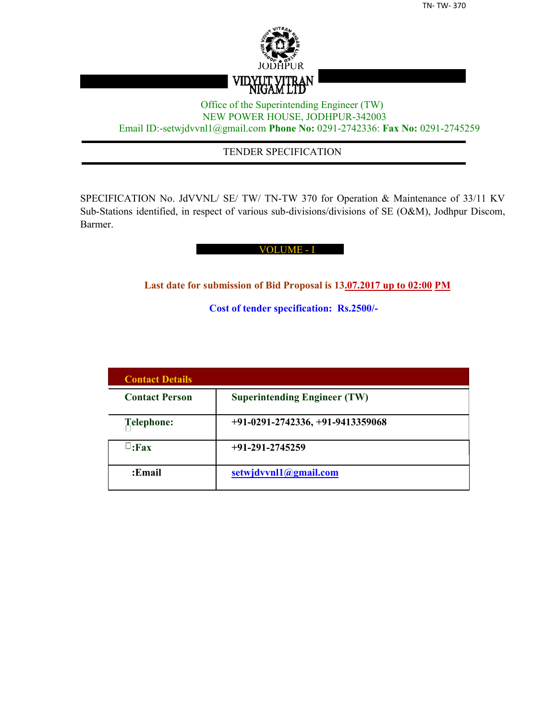

## Office of the Superintending Engineer (TW) NEW POWER HOUSE, JODHPUR-342003 Email ID:-setwjdvvnl1@gmail.com **Phone No:** 0291-2742336: **Fax No:** 0291-2745259

## TENDER SPECIFICATION

SPECIFICATION No. JdVVNL/ SE/ TW/ TN-TW 370 for Operation & Maintenance of 33/11 KV Sub-Stations identified, in respect of various sub-divisions/divisions of SE (O&M), Jodhpur Discom, Barmer.

#### VOLUME - I

**Last date for submission of Bid Proposal is 13.07.2017 up to 02:00 PM**

**Cost of tender specification: Rs.2500/-**

| <b>Contact Details</b> |                                     |
|------------------------|-------------------------------------|
| <b>Contact Person</b>  | <b>Superintending Engineer (TW)</b> |
| Telephone:             | $+91-0291-2742336, +91-9413359068$  |
| $\sqcup$ :Fax          | $+91-291-2745259$                   |
| :Email                 | setwjdvvnl1@gmail.com               |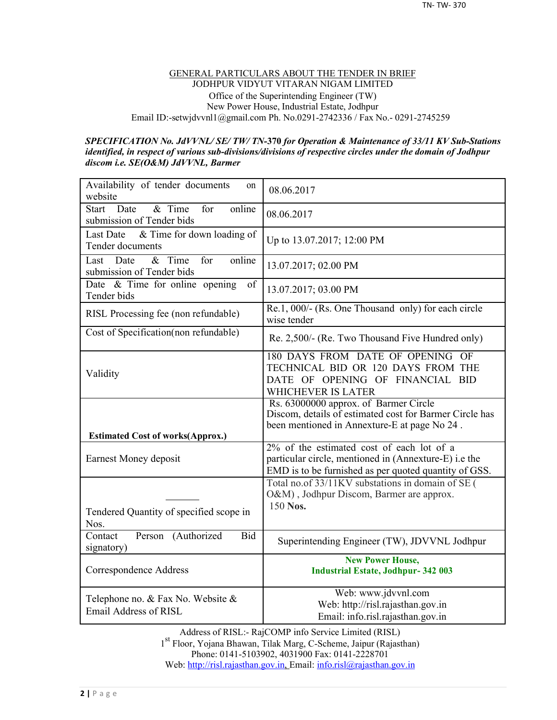#### GENERAL PARTICULARS ABOUT THE TENDER IN BRIEF JODHPUR VIDYUT VITARAN NIGAM LIMITED Office of the Superintending Engineer (TW) New Power House, Industrial Estate, Jodhpur Email ID:-setwjdvvnl1@gmail.com Ph. No.0291-2742336 / Fax No.- 0291-2745259

#### *SPECIFICATION No. JdVVNL/ SE/ TW/ TN-***370** *for Operation & Maintenance of 33/11 KV Sub-Stations identified, in respect of various sub-divisions/divisions of respective circles under the domain of Jodhpur discom i.e. SE(O&M) JdVVNL, Barmer*

| Availability of tender documents<br>on<br>website                              | 08.06.2017                                                                                                                                                  |
|--------------------------------------------------------------------------------|-------------------------------------------------------------------------------------------------------------------------------------------------------------|
| $&$ Time<br>online<br><b>Start</b><br>Date<br>for<br>submission of Tender bids | 08.06.2017                                                                                                                                                  |
| & Time for down loading of<br>Last Date<br>Tender documents                    | Up to 13.07.2017; 12:00 PM                                                                                                                                  |
| for<br>online<br>$\&$ Time<br>Date<br>Last<br>submission of Tender bids        | 13.07.2017; 02.00 PM                                                                                                                                        |
| Date & Time for online opening<br>of<br>Tender bids                            | 13.07.2017; 03.00 PM                                                                                                                                        |
| RISL Processing fee (non refundable)                                           | Re.1, 000/- (Rs. One Thousand only) for each circle<br>wise tender                                                                                          |
| Cost of Specification(non refundable)                                          | Re. 2,500/- (Re. Two Thousand Five Hundred only)                                                                                                            |
| Validity                                                                       | 180 DAYS FROM DATE OF OPENING OF<br>TECHNICAL BID OR 120 DAYS FROM THE<br>DATE OF OPENING OF FINANCIAL BID<br><b>WHICHEVER IS LATER</b>                     |
|                                                                                | Rs. 63000000 approx. of Barmer Circle<br>Discom, details of estimated cost for Barmer Circle has                                                            |
|                                                                                | been mentioned in Annexture-E at page No 24.                                                                                                                |
| <b>Estimated Cost of works(Approx.)</b><br>Earnest Money deposit               | 2% of the estimated cost of each lot of a<br>particular circle, mentioned in (Annexture-E) i.e the<br>EMD is to be furnished as per quoted quantity of GSS. |
| Tendered Quantity of specified scope in<br>Nos.                                | Total no.of 33/11KV substations in domain of SE (<br>O&M), Jodhpur Discom, Barmer are approx.<br>150 Nos.                                                   |
| Contact<br>Person (Authorized<br>Bid<br>signatory)                             | Superintending Engineer (TW), JDVVNL Jodhpur                                                                                                                |
| Correspondence Address                                                         | <b>New Power House,</b><br><b>Industrial Estate, Jodhpur-342 003</b>                                                                                        |

Address of RISL:- RajCOMP info Service Limited (RISL) 1 st Floor, Yojana Bhawan, Tilak Marg, C-Scheme, Jaipur (Rajasthan) Phone: 0141-5103902, 4031900 Fax: 0141-2228701 Web: http://risl.rajasthan.gov.in, Email: info.risl@rajasthan.gov.in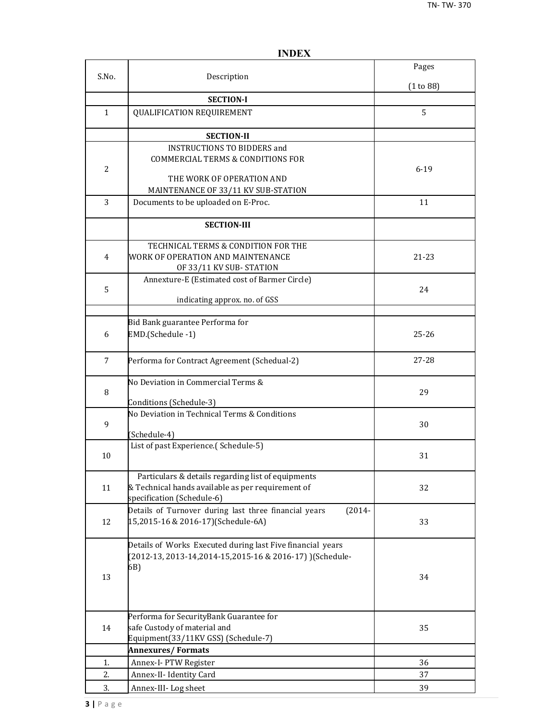|                |                                                                                                                                       | Pages     |
|----------------|---------------------------------------------------------------------------------------------------------------------------------------|-----------|
| S.No.          | Description                                                                                                                           | (1 to 88) |
|                | <b>SECTION-I</b>                                                                                                                      |           |
| $\mathbf{1}$   | QUALIFICATION REQUIREMENT                                                                                                             | 5         |
|                | <b>SECTION-II</b>                                                                                                                     |           |
| $\overline{2}$ | <b>INSTRUCTIONS TO BIDDERS and</b><br><b>COMMERCIAL TERMS &amp; CONDITIONS FOR</b><br>THE WORK OF OPERATION AND                       | $6 - 19$  |
|                | MAINTENANCE OF 33/11 KV SUB-STATION                                                                                                   |           |
| 3              | Documents to be uploaded on E-Proc.                                                                                                   | 11        |
|                | <b>SECTION-III</b>                                                                                                                    |           |
| 4              | TECHNICAL TERMS & CONDITION FOR THE<br>WORK OF OPERATION AND MAINTENANCE<br>OF 33/11 KV SUB-STATION                                   | 21-23     |
| 5              | Annexture-E (Estimated cost of Barmer Circle)<br>indicating approx. no. of GSS                                                        | 24        |
|                |                                                                                                                                       |           |
| 6              | Bid Bank guarantee Performa for<br>EMD.(Schedule -1)                                                                                  | $25 - 26$ |
| 7              | Performa for Contract Agreement (Schedual-2)                                                                                          | 27-28     |
| 8              | No Deviation in Commercial Terms &<br>Conditions (Schedule-3)                                                                         | 29        |
| 9              | No Deviation in Technical Terms & Conditions<br>(Schedule-4)                                                                          | 30        |
| 10             | List of past Experience.(Schedule-5)                                                                                                  | 31        |
| 11             | Particulars & details regarding list of equipments<br>& Technical hands available as per requirement of<br>specification (Schedule-6) | 32        |
| 12             | Details of Turnover during last three financial years<br>$(2014 -$<br>15,2015-16 & 2016-17)(Schedule-6A)                              | 33        |
| 13             | Details of Works Executed during last Five financial years<br>(2012-13, 2013-14, 2014-15, 2015-16 & 2016-17) ) (Schedule-<br>6B)      | 34        |
| 14             | Performa for SecurityBank Guarantee for<br>safe Custody of material and<br>Equipment(33/11KV GSS) (Schedule-7)                        | 35        |
|                | <b>Annexures/Formats</b>                                                                                                              |           |
| 1.             | Annex-I- PTW Register                                                                                                                 | 36        |
| 2.             | Annex-II- Identity Card                                                                                                               | 37        |
| 3.             | Annex-III-Log sheet                                                                                                                   | 39        |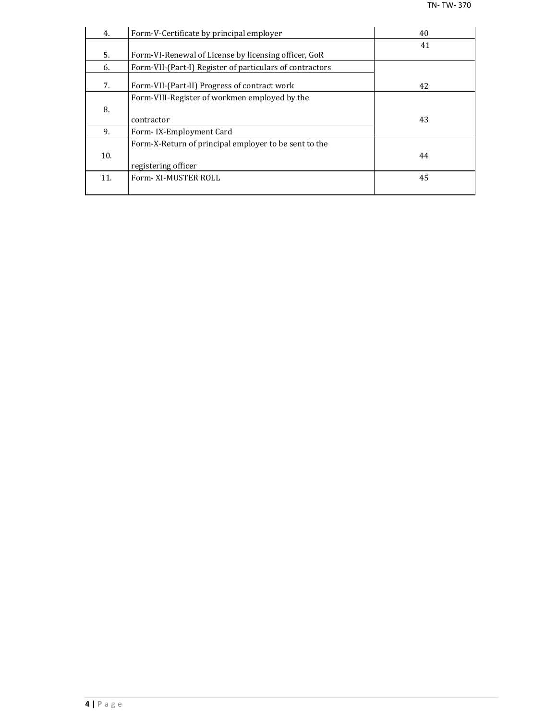| 4.  | Form-V-Certificate by principal employer                 | 40 |
|-----|----------------------------------------------------------|----|
|     |                                                          | 41 |
| 5.  | Form-VI-Renewal of License by licensing officer, GoR     |    |
| 6.  | Form-VII-(Part-I) Register of particulars of contractors |    |
| 7.  | Form-VII-(Part-II) Progress of contract work             | 42 |
|     | Form-VIII-Register of workmen employed by the            |    |
| 8.  |                                                          |    |
|     | contractor                                               | 43 |
| 9.  | Form-IX-Employment Card                                  |    |
|     | Form-X-Return of principal employer to be sent to the    |    |
| 10. |                                                          | 44 |
|     | registering officer                                      |    |
| 11. | Form-XI-MUSTER ROLL                                      | 45 |
|     |                                                          |    |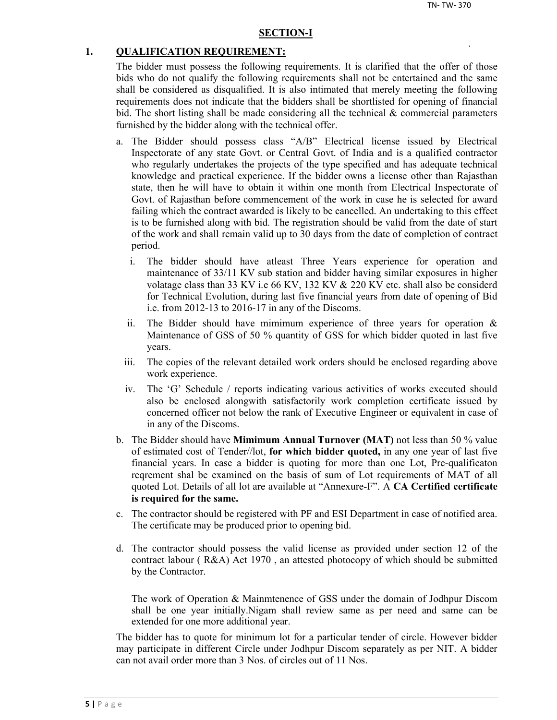#### **SECTION-I**

#### **1. QUALIFICATION REQUIREMENT:**

The bidder must possess the following requirements. It is clarified that the offer of those bids who do not qualify the following requirements shall not be entertained and the same shall be considered as disqualified. It is also intimated that merely meeting the following requirements does not indicate that the bidders shall be shortlisted for opening of financial bid. The short listing shall be made considering all the technical  $\&$  commercial parameters furnished by the bidder along with the technical offer.

- a. The Bidder should possess class "A/B" Electrical license issued by Electrical Inspectorate of any state Govt. or Central Govt. of India and is a qualified contractor who regularly undertakes the projects of the type specified and has adequate technical knowledge and practical experience. If the bidder owns a license other than Rajasthan state, then he will have to obtain it within one month from Electrical Inspectorate of Govt. of Rajasthan before commencement of the work in case he is selected for award failing which the contract awarded is likely to be cancelled. An undertaking to this effect is to be furnished along with bid. The registration should be valid from the date of start of the work and shall remain valid up to 30 days from the date of completion of contract period.
	- i. The bidder should have atleast Three Years experience for operation and maintenance of 33/11 KV sub station and bidder having similar exposures in higher volatage class than 33 KV i.e 66 KV, 132 KV & 220 KV etc. shall also be considerd for Technical Evolution, during last five financial years from date of opening of Bid i.e. from 2012-13 to 2016-17 in any of the Discoms.
	- ii. The Bidder should have mimimum experience of three years for operation  $\&$ Maintenance of GSS of 50 % quantity of GSS for which bidder quoted in last five years.
	- iii. The copies of the relevant detailed work orders should be enclosed regarding above work experience.
	- iv. The 'G' Schedule / reports indicating various activities of works executed should also be enclosed alongwith satisfactorily work completion certificate issued by concerned officer not below the rank of Executive Engineer or equivalent in case of in any of the Discoms.
- b. The Bidder should have **Mimimum Annual Turnover (MAT)** not less than 50 % value of estimated cost of Tender//lot, **for which bidder quoted,** in any one year of last five financial years. In case a bidder is quoting for more than one Lot, Pre-qualificaton reqrement shal be examined on the basis of sum of Lot requirements of MAT of all quoted Lot. Details of all lot are available at "Annexure-F". A **CA Certified certificate is required for the same.**
- c. The contractor should be registered with PF and ESI Department in case of notified area. The certificate may be produced prior to opening bid.
- d. The contractor should possess the valid license as provided under section 12 of the contract labour ( R&A) Act 1970 , an attested photocopy of which should be submitted by the Contractor.

The work of Operation & Mainmtenence of GSS under the domain of Jodhpur Discom shall be one year initially.Nigam shall review same as per need and same can be extended for one more additional year.

The bidder has to quote for minimum lot for a particular tender of circle. However bidder may participate in different Circle under Jodhpur Discom separately as per NIT. A bidder can not avail order more than 3 Nos. of circles out of 11 Nos.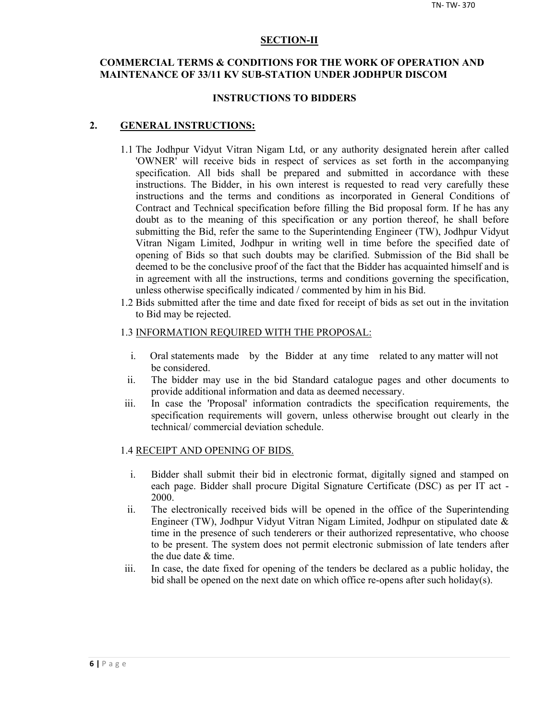#### **SECTION-II**

## **COMMERCIAL TERMS & CONDITIONS FOR THE WORK OF OPERATION AND MAINTENANCE OF 33/11 KV SUB-STATION UNDER JODHPUR DISCOM**

#### **INSTRUCTIONS TO BIDDERS**

#### **2. GENERAL INSTRUCTIONS:**

- 1.1 The Jodhpur Vidyut Vitran Nigam Ltd, or any authority designated herein after called 'OWNER' will receive bids in respect of services as set forth in the accompanying specification. All bids shall be prepared and submitted in accordance with these instructions. The Bidder, in his own interest is requested to read very carefully these instructions and the terms and conditions as incorporated in General Conditions of Contract and Technical specification before filling the Bid proposal form. If he has any doubt as to the meaning of this specification or any portion thereof, he shall before submitting the Bid, refer the same to the Superintending Engineer (TW), Jodhpur Vidyut Vitran Nigam Limited, Jodhpur in writing well in time before the specified date of opening of Bids so that such doubts may be clarified. Submission of the Bid shall be deemed to be the conclusive proof of the fact that the Bidder has acquainted himself and is in agreement with all the instructions, terms and conditions governing the specification, unless otherwise specifically indicated / commented by him in his Bid.
- 1.2 Bids submitted after the time and date fixed for receipt of bids as set out in the invitation to Bid may be rejected.

#### 1.3 INFORMATION REQUIRED WITH THE PROPOSAL:

- i. Oral statements made by the Bidder at any time related to any matter will not be considered.
- ii. The bidder may use in the bid Standard catalogue pages and other documents to provide additional information and data as deemed necessary.
- iii. In case the 'Proposal' information contradicts the specification requirements, the specification requirements will govern, unless otherwise brought out clearly in the technical/ commercial deviation schedule.

#### 1.4 RECEIPT AND OPENING OF BIDS.

- i. Bidder shall submit their bid in electronic format, digitally signed and stamped on each page. Bidder shall procure Digital Signature Certificate (DSC) as per IT act - 2000.
- ii. The electronically received bids will be opened in the office of the Superintending Engineer (TW), Jodhpur Vidyut Vitran Nigam Limited, Jodhpur on stipulated date & time in the presence of such tenderers or their authorized representative, who choose to be present. The system does not permit electronic submission of late tenders after the due date & time.
- iii. In case, the date fixed for opening of the tenders be declared as a public holiday, the bid shall be opened on the next date on which office re-opens after such holiday(s).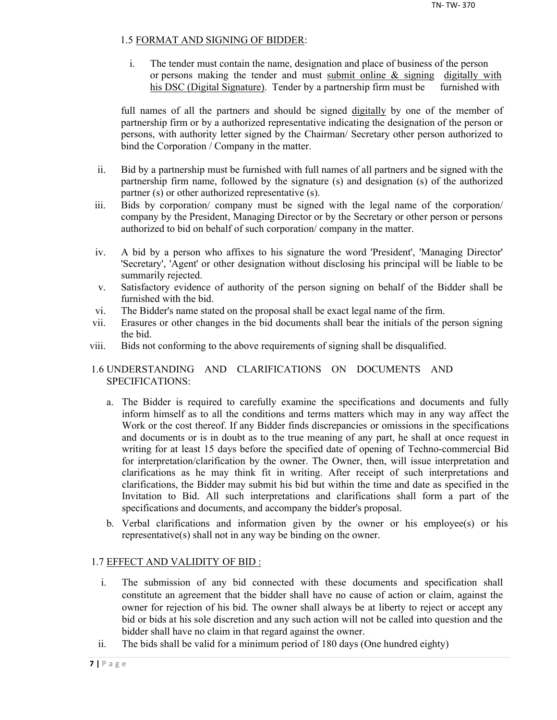## 1.5 FORMAT AND SIGNING OF BIDDER:

i. The tender must contain the name, designation and place of business of the person or persons making the tender and must submit online  $\&$  signing digitally with his DSC (Digital Signature). Tender by a partnership firm must be furnished with

full names of all the partners and should be signed digitally by one of the member of partnership firm or by a authorized representative indicating the designation of the person or persons, with authority letter signed by the Chairman/ Secretary other person authorized to bind the Corporation / Company in the matter.

- ii. Bid by a partnership must be furnished with full names of all partners and be signed with the partnership firm name, followed by the signature (s) and designation (s) of the authorized partner (s) or other authorized representative (s).
- iii. Bids by corporation/ company must be signed with the legal name of the corporation/ company by the President, Managing Director or by the Secretary or other person or persons authorized to bid on behalf of such corporation/ company in the matter.
- iv. A bid by a person who affixes to his signature the word 'President', 'Managing Director' 'Secretary', 'Agent' or other designation without disclosing his principal will be liable to be summarily rejected.
- v. Satisfactory evidence of authority of the person signing on behalf of the Bidder shall be furnished with the bid.
- vi. The Bidder's name stated on the proposal shall be exact legal name of the firm.
- vii. Erasures or other changes in the bid documents shall bear the initials of the person signing the bid.
- viii. Bids not conforming to the above requirements of signing shall be disqualified.

## 1.6 UNDERSTANDING AND CLARIFICATIONS ON DOCUMENTS AND SPECIFICATIONS:

- a. The Bidder is required to carefully examine the specifications and documents and fully inform himself as to all the conditions and terms matters which may in any way affect the Work or the cost thereof. If any Bidder finds discrepancies or omissions in the specifications and documents or is in doubt as to the true meaning of any part, he shall at once request in writing for at least 15 days before the specified date of opening of Techno-commercial Bid for interpretation/clarification by the owner. The Owner, then, will issue interpretation and clarifications as he may think fit in writing. After receipt of such interpretations and clarifications, the Bidder may submit his bid but within the time and date as specified in the Invitation to Bid. All such interpretations and clarifications shall form a part of the specifications and documents, and accompany the bidder's proposal.
- b. Verbal clarifications and information given by the owner or his employee(s) or his representative(s) shall not in any way be binding on the owner.

## 1.7 EFFECT AND VALIDITY OF BID :

- i. The submission of any bid connected with these documents and specification shall constitute an agreement that the bidder shall have no cause of action or claim, against the owner for rejection of his bid. The owner shall always be at liberty to reject or accept any bid or bids at his sole discretion and any such action will not be called into question and the bidder shall have no claim in that regard against the owner.
- ii. The bids shall be valid for a minimum period of 180 days (One hundred eighty)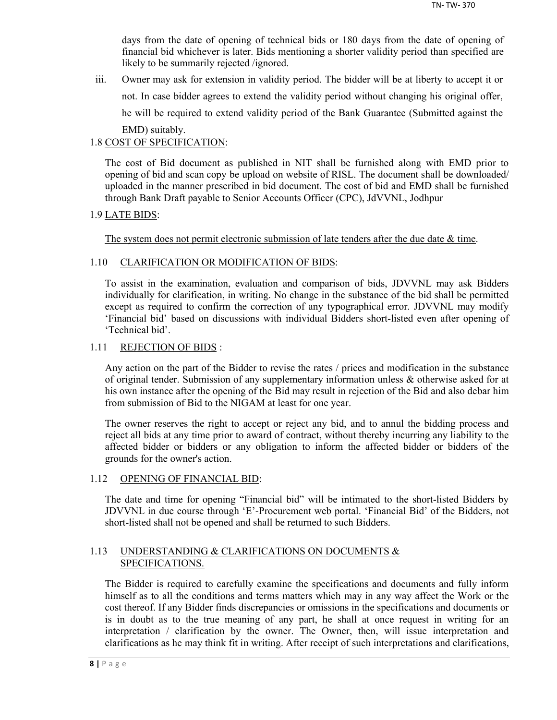days from the date of opening of technical bids or 180 days from the date of opening of financial bid whichever is later. Bids mentioning a shorter validity period than specified are likely to be summarily rejected /ignored.

iii. Owner may ask for extension in validity period. The bidder will be at liberty to accept it or not. In case bidder agrees to extend the validity period without changing his original offer, he will be required to extend validity period of the Bank Guarantee (Submitted against the EMD) suitably.

## 1.8 COST OF SPECIFICATION:

The cost of Bid document as published in NIT shall be furnished along with EMD prior to opening of bid and scan copy be upload on website of RISL. The document shall be downloaded/ uploaded in the manner prescribed in bid document. The cost of bid and EMD shall be furnished through Bank Draft payable to Senior Accounts Officer (CPC), JdVVNL, Jodhpur

## 1.9 LATE BIDS:

The system does not permit electronic submission of late tenders after the due date  $\&$  time.

## 1.10 CLARIFICATION OR MODIFICATION OF BIDS:

To assist in the examination, evaluation and comparison of bids, JDVVNL may ask Bidders individually for clarification, in writing. No change in the substance of the bid shall be permitted except as required to confirm the correction of any typographical error. JDVVNL may modify 'Financial bid' based on discussions with individual Bidders short-listed even after opening of 'Technical bid'.

## 1.11 REJECTION OF BIDS :

Any action on the part of the Bidder to revise the rates / prices and modification in the substance of original tender. Submission of any supplementary information unless & otherwise asked for at his own instance after the opening of the Bid may result in rejection of the Bid and also debar him from submission of Bid to the NIGAM at least for one year.

The owner reserves the right to accept or reject any bid, and to annul the bidding process and reject all bids at any time prior to award of contract, without thereby incurring any liability to the affected bidder or bidders or any obligation to inform the affected bidder or bidders of the grounds for the owner's action.

### 1.12 OPENING OF FINANCIAL BID:

The date and time for opening "Financial bid" will be intimated to the short-listed Bidders by JDVVNL in due course through 'E'-Procurement web portal. 'Financial Bid' of the Bidders, not short-listed shall not be opened and shall be returned to such Bidders.

## 1.13 UNDERSTANDING & CLARIFICATIONS ON DOCUMENTS & SPECIFICATIONS.

The Bidder is required to carefully examine the specifications and documents and fully inform himself as to all the conditions and terms matters which may in any way affect the Work or the cost thereof. If any Bidder finds discrepancies or omissions in the specifications and documents or is in doubt as to the true meaning of any part, he shall at once request in writing for an interpretation / clarification by the owner. The Owner, then, will issue interpretation and clarifications as he may think fit in writing. After receipt of such interpretations and clarifications,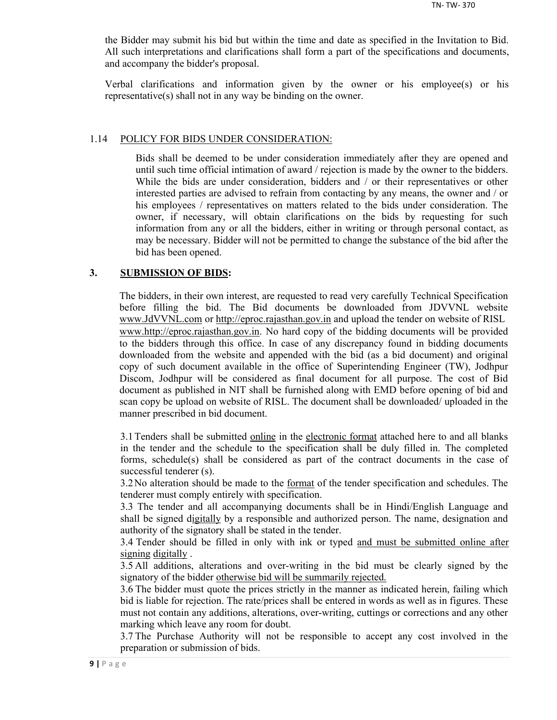the Bidder may submit his bid but within the time and date as specified in the Invitation to Bid. All such interpretations and clarifications shall form a part of the specifications and documents, and accompany the bidder's proposal.

Verbal clarifications and information given by the owner or his employee(s) or his representative(s) shall not in any way be binding on the owner.

#### 1.14 POLICY FOR BIDS UNDER CONSIDERATION:

Bids shall be deemed to be under consideration immediately after they are opened and until such time official intimation of award / rejection is made by the owner to the bidders. While the bids are under consideration, bidders and / or their representatives or other interested parties are advised to refrain from contacting by any means, the owner and / or his employees / representatives on matters related to the bids under consideration. The owner, if necessary, will obtain clarifications on the bids by requesting for such information from any or all the bidders, either in writing or through personal contact, as may be necessary. Bidder will not be permitted to change the substance of the bid after the bid has been opened.

#### **3. SUBMISSION OF BIDS:**

The bidders, in their own interest, are requested to read very carefully Technical Specification before filling the bid. The Bid documents be downloaded from JDVVNL website www.JdVVNL.com or http://eproc.rajasthan.gov.in and upload the tender on website of RISL www.http://eproc.rajasthan.gov.in. No hard copy of the bidding documents will be provided to the bidders through this office. In case of any discrepancy found in bidding documents downloaded from the website and appended with the bid (as a bid document) and original copy of such document available in the office of Superintending Engineer (TW), Jodhpur Discom, Jodhpur will be considered as final document for all purpose. The cost of Bid document as published in NIT shall be furnished along with EMD before opening of bid and scan copy be upload on website of RISL. The document shall be downloaded/ uploaded in the manner prescribed in bid document.

3.1 Tenders shall be submitted online in the electronic format attached here to and all blanks in the tender and the schedule to the specification shall be duly filled in. The completed forms, schedule(s) shall be considered as part of the contract documents in the case of successful tenderer (s).

3.2 No alteration should be made to the format of the tender specification and schedules. The tenderer must comply entirely with specification.

3.3 The tender and all accompanying documents shall be in Hindi/English Language and shall be signed digitally by a responsible and authorized person. The name, designation and authority of the signatory shall be stated in the tender.

3.4 Tender should be filled in only with ink or typed and must be submitted online after signing digitally .

3.5 All additions, alterations and over-writing in the bid must be clearly signed by the signatory of the bidder otherwise bid will be summarily rejected.

3.6 The bidder must quote the prices strictly in the manner as indicated herein, failing which bid is liable for rejection. The rate/prices shall be entered in words as well as in figures. These must not contain any additions, alterations, over-writing, cuttings or corrections and any other marking which leave any room for doubt.

3.7 The Purchase Authority will not be responsible to accept any cost involved in the preparation or submission of bids.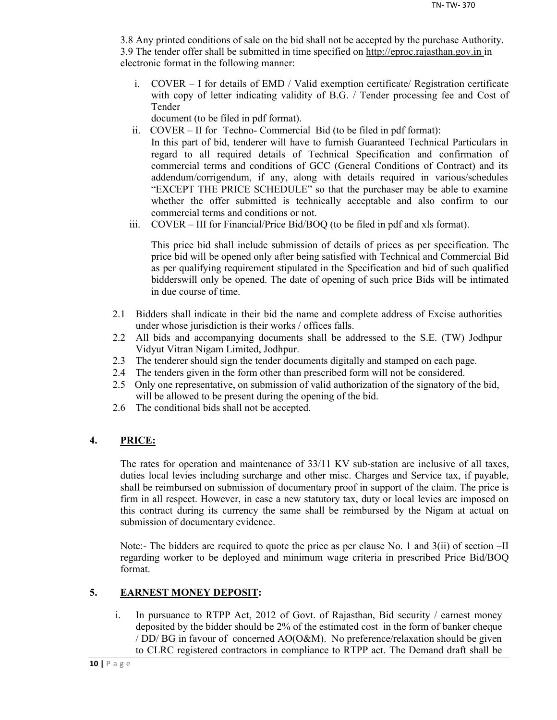3.8 Any printed conditions of sale on the bid shall not be accepted by the purchase Authority. 3.9 The tender offer shall be submitted in time specified on http://eproc.rajasthan.gov.in in electronic format in the following manner:

i. COVER – I for details of EMD / Valid exemption certificate/ Registration certificate with copy of letter indicating validity of B.G. / Tender processing fee and Cost of Tender

document (to be filed in pdf format).

- ii. COVER II for Techno- Commercial Bid (to be filed in pdf format): In this part of bid, tenderer will have to furnish Guaranteed Technical Particulars in regard to all required details of Technical Specification and confirmation of commercial terms and conditions of GCC (General Conditions of Contract) and its addendum/corrigendum, if any, along with details required in various/schedules "EXCEPT THE PRICE SCHEDULE" so that the purchaser may be able to examine whether the offer submitted is technically acceptable and also confirm to our commercial terms and conditions or not.
- iii. COVER III for Financial/Price Bid/BOQ (to be filed in pdf and xls format).

This price bid shall include submission of details of prices as per specification. The price bid will be opened only after being satisfied with Technical and Commercial Bid as per qualifying requirement stipulated in the Specification and bid of such qualified bidderswill only be opened. The date of opening of such price Bids will be intimated in due course of time.

- 2.1 Bidders shall indicate in their bid the name and complete address of Excise authorities under whose jurisdiction is their works / offices falls.
- 2.2 All bids and accompanying documents shall be addressed to the S.E. (TW) Jodhpur Vidyut Vitran Nigam Limited, Jodhpur.
- 2.3 The tenderer should sign the tender documents digitally and stamped on each page.
- 2.4 The tenders given in the form other than prescribed form will not be considered.
- 2.5 Only one representative, on submission of valid authorization of the signatory of the bid, will be allowed to be present during the opening of the bid.
- 2.6 The conditional bids shall not be accepted.

## **4. PRICE:**

The rates for operation and maintenance of 33/11 KV sub-station are inclusive of all taxes, duties local levies including surcharge and other misc. Charges and Service tax, if payable, shall be reimbursed on submission of documentary proof in support of the claim. The price is firm in all respect. However, in case a new statutory tax, duty or local levies are imposed on this contract during its currency the same shall be reimbursed by the Nigam at actual on submission of documentary evidence.

Note:- The bidders are required to quote the price as per clause No. 1 and 3(ii) of section –II regarding worker to be deployed and minimum wage criteria in prescribed Price Bid/BOQ format.

## **5. EARNEST MONEY DEPOSIT:**

i. In pursuance to RTPP Act, 2012 of Govt. of Rajasthan, Bid security / earnest money deposited by the bidder should be 2% of the estimated cost in the form of banker cheque / DD/ BG in favour of concerned AO(O&M). No preference/relaxation should be given to CLRC registered contractors in compliance to RTPP act. The Demand draft shall be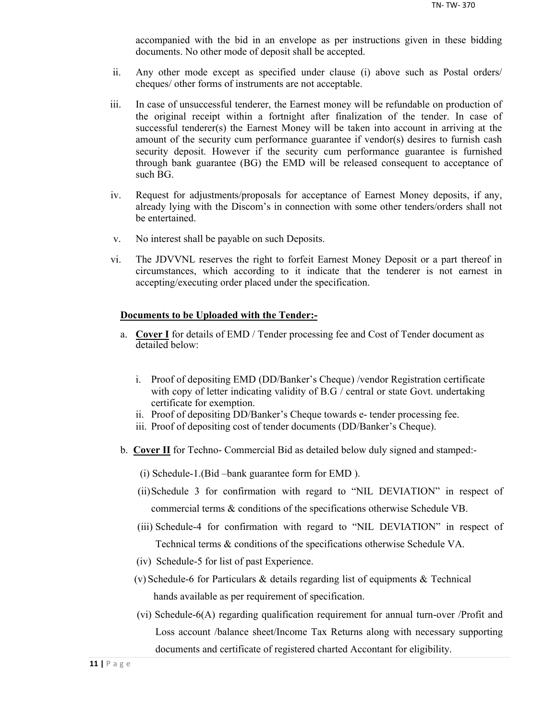accompanied with the bid in an envelope as per instructions given in these bidding documents. No other mode of deposit shall be accepted.

- ii. Any other mode except as specified under clause (i) above such as Postal orders/ cheques/ other forms of instruments are not acceptable.
- iii. In case of unsuccessful tenderer, the Earnest money will be refundable on production of the original receipt within a fortnight after finalization of the tender. In case of successful tenderer(s) the Earnest Money will be taken into account in arriving at the amount of the security cum performance guarantee if vendor(s) desires to furnish cash security deposit. However if the security cum performance guarantee is furnished through bank guarantee (BG) the EMD will be released consequent to acceptance of such BG.
- iv. Request for adjustments/proposals for acceptance of Earnest Money deposits, if any, already lying with the Discom's in connection with some other tenders/orders shall not be entertained.
- v. No interest shall be payable on such Deposits.
- vi. The JDVVNL reserves the right to forfeit Earnest Money Deposit or a part thereof in circumstances, which according to it indicate that the tenderer is not earnest in accepting/executing order placed under the specification.

#### **Documents to be Uploaded with the Tender:-**

- a. **Cover I** for details of EMD / Tender processing fee and Cost of Tender document as detailed below:
	- i. Proof of depositing EMD (DD/Banker's Cheque) /vendor Registration certificate with copy of letter indicating validity of B.G / central or state Govt. undertaking certificate for exemption.
	- ii. Proof of depositing DD/Banker's Cheque towards e- tender processing fee.
	- iii. Proof of depositing cost of tender documents (DD/Banker's Cheque).
- b. **Cover II** for Techno- Commercial Bid as detailed below duly signed and stamped:-
	- (i) Schedule-1.(Bid –bank guarantee form for EMD ).
	- (ii)Schedule 3 for confirmation with regard to "NIL DEVIATION" in respect of commercial terms & conditions of the specifications otherwise Schedule VB.
	- (iii) Schedule-4 for confirmation with regard to "NIL DEVIATION" in respect of Technical terms & conditions of the specifications otherwise Schedule VA.
	- (iv) Schedule-5 for list of past Experience.
	- (v) Schedule-6 for Particulars & details regarding list of equipments & Technical hands available as per requirement of specification.
	- (vi) Schedule-6(A) regarding qualification requirement for annual turn-over /Profit and Loss account /balance sheet/Income Tax Returns along with necessary supporting documents and certificate of registered charted Accontant for eligibility.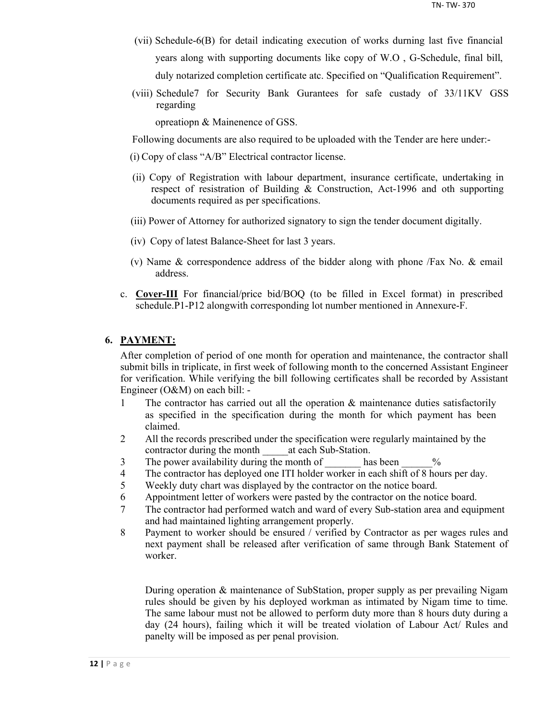- (vii) Schedule-6(B) for detail indicating execution of works durning last five financial years along with supporting documents like copy of W.O , G-Schedule, final bill, duly notarized completion certificate atc. Specified on "Qualification Requirement".
- (viii) Schedule7 for Security Bank Gurantees for safe custady of 33/11KV GSS regarding

opreatiopn & Mainenence of GSS.

Following documents are also required to be uploaded with the Tender are here under:-

- (i) Copy of class "A/B" Electrical contractor license.
- (ii) Copy of Registration with labour department, insurance certificate, undertaking in respect of resistration of Building & Construction, Act-1996 and oth supporting documents required as per specifications.
- (iii) Power of Attorney for authorized signatory to sign the tender document digitally.
- (iv) Copy of latest Balance-Sheet for last 3 years.
- (v) Name & correspondence address of the bidder along with phone /Fax No. & email address.
- c. **Cover-III** For financial/price bid/BOQ (to be filled in Excel format) in prescribed schedule.P1-P12 alongwith corresponding lot number mentioned in Annexure-F.

### **6. PAYMENT:**

After completion of period of one month for operation and maintenance, the contractor shall submit bills in triplicate, in first week of following month to the concerned Assistant Engineer for verification. While verifying the bill following certificates shall be recorded by Assistant Engineer (O&M) on each bill: -

- 1 The contractor has carried out all the operation & maintenance duties satisfactorily as specified in the specification during the month for which payment has been claimed.
- 2 All the records prescribed under the specification were regularly maintained by the contractor during the month at each Sub-Station.
- 3 The power availability during the month of has been  $\%$
- 4 The contractor has deployed one ITI holder worker in each shift of 8 hours per day.
- 5 Weekly duty chart was displayed by the contractor on the notice board.
- 6 Appointment letter of workers were pasted by the contractor on the notice board.
- 7 The contractor had performed watch and ward of every Sub-station area and equipment and had maintained lighting arrangement properly.
- 8 Payment to worker should be ensured / verified by Contractor as per wages rules and next payment shall be released after verification of same through Bank Statement of worker.

During operation & maintenance of SubStation, proper supply as per prevailing Nigam rules should be given by his deployed workman as intimated by Nigam time to time. The same labour must not be allowed to perform duty more than 8 hours duty during a day (24 hours), failing which it will be treated violation of Labour Act/ Rules and panelty will be imposed as per penal provision.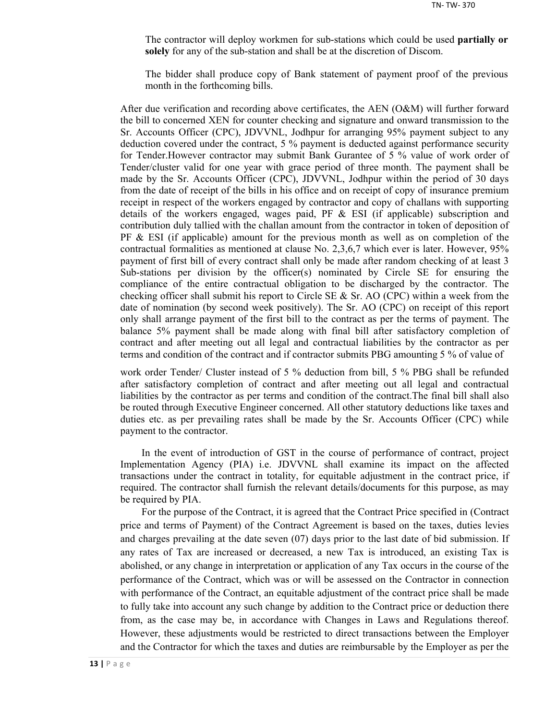The contractor will deploy workmen for sub-stations which could be used **partially or solely** for any of the sub-station and shall be at the discretion of Discom.

The bidder shall produce copy of Bank statement of payment proof of the previous month in the forthcoming bills.

After due verification and recording above certificates, the AEN (O&M) will further forward the bill to concerned XEN for counter checking and signature and onward transmission to the Sr. Accounts Officer (CPC), JDVVNL, Jodhpur for arranging 95% payment subject to any deduction covered under the contract, 5 % payment is deducted against performance security for Tender.However contractor may submit Bank Gurantee of 5 % value of work order of Tender/cluster valid for one year with grace period of three month. The payment shall be made by the Sr. Accounts Officer (CPC), JDVVNL, Jodhpur within the period of 30 days from the date of receipt of the bills in his office and on receipt of copy of insurance premium receipt in respect of the workers engaged by contractor and copy of challans with supporting details of the workers engaged, wages paid, PF  $\&$  ESI (if applicable) subscription and contribution duly tallied with the challan amount from the contractor in token of deposition of  $PF \& ESI$  (if applicable) amount for the previous month as well as on completion of the contractual formalities as mentioned at clause No. 2,3,6,7 which ever is later. However, 95% payment of first bill of every contract shall only be made after random checking of at least 3 Sub-stations per division by the officer(s) nominated by Circle SE for ensuring the compliance of the entire contractual obligation to be discharged by the contractor. The checking officer shall submit his report to Circle SE  $\&$  Sr. AO (CPC) within a week from the date of nomination (by second week positively). The Sr. AO (CPC) on receipt of this report only shall arrange payment of the first bill to the contract as per the terms of payment. The balance 5% payment shall be made along with final bill after satisfactory completion of contract and after meeting out all legal and contractual liabilities by the contractor as per terms and condition of the contract and if contractor submits PBG amounting 5 % of value of

work order Tender/ Cluster instead of 5 % deduction from bill, 5 % PBG shall be refunded after satisfactory completion of contract and after meeting out all legal and contractual liabilities by the contractor as per terms and condition of the contract.The final bill shall also be routed through Executive Engineer concerned. All other statutory deductions like taxes and duties etc. as per prevailing rates shall be made by the Sr. Accounts Officer (CPC) while payment to the contractor.

In the event of introduction of GST in the course of performance of contract, project Implementation Agency (PIA) i.e. JDVVNL shall examine its impact on the affected transactions under the contract in totality, for equitable adjustment in the contract price, if required. The contractor shall furnish the relevant details/documents for this purpose, as may be required by PIA.

For the purpose of the Contract, it is agreed that the Contract Price specified in (Contract price and terms of Payment) of the Contract Agreement is based on the taxes, duties levies and charges prevailing at the date seven (07) days prior to the last date of bid submission. If any rates of Tax are increased or decreased, a new Tax is introduced, an existing Tax is abolished, or any change in interpretation or application of any Tax occurs in the course of the performance of the Contract, which was or will be assessed on the Contractor in connection with performance of the Contract, an equitable adjustment of the contract price shall be made to fully take into account any such change by addition to the Contract price or deduction there from, as the case may be, in accordance with Changes in Laws and Regulations thereof. However, these adjustments would be restricted to direct transactions between the Employer and the Contractor for which the taxes and duties are reimbursable by the Employer as per the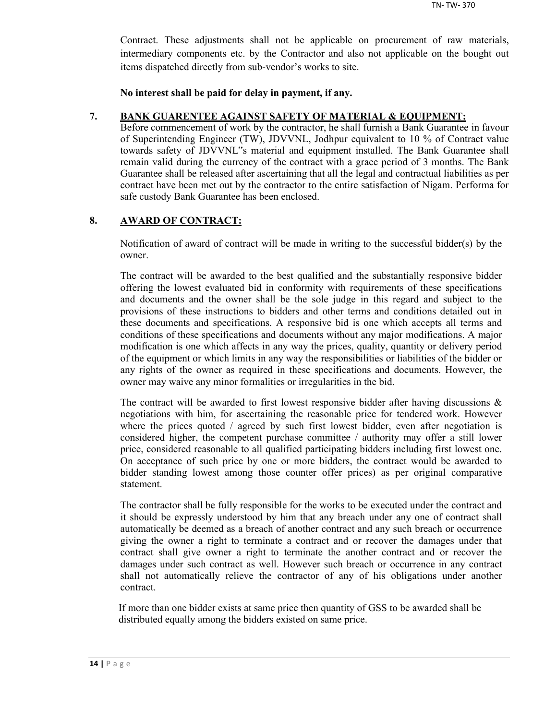Contract. These adjustments shall not be applicable on procurement of raw materials, intermediary components etc. by the Contractor and also not applicable on the bought out items dispatched directly from sub-vendor's works to site.

**No interest shall be paid for delay in payment, if any.**

#### **7. BANK GUARENTEE AGAINST SAFETY OF MATERIAL & EQUIPMENT:**

Before commencement of work by the contractor, he shall furnish a Bank Guarantee in favour of Superintending Engineer (TW), JDVVNL, Jodhpur equivalent to 10 % of Contract value towards safety of JDVVNL"s material and equipment installed. The Bank Guarantee shall remain valid during the currency of the contract with a grace period of 3 months. The Bank Guarantee shall be released after ascertaining that all the legal and contractual liabilities as per contract have been met out by the contractor to the entire satisfaction of Nigam. Performa for safe custody Bank Guarantee has been enclosed.

## **8. AWARD OF CONTRACT:**

Notification of award of contract will be made in writing to the successful bidder(s) by the owner.

The contract will be awarded to the best qualified and the substantially responsive bidder offering the lowest evaluated bid in conformity with requirements of these specifications and documents and the owner shall be the sole judge in this regard and subject to the provisions of these instructions to bidders and other terms and conditions detailed out in these documents and specifications. A responsive bid is one which accepts all terms and conditions of these specifications and documents without any major modifications. A major modification is one which affects in any way the prices, quality, quantity or delivery period of the equipment or which limits in any way the responsibilities or liabilities of the bidder or any rights of the owner as required in these specifications and documents. However, the owner may waive any minor formalities or irregularities in the bid.

The contract will be awarded to first lowest responsive bidder after having discussions  $\&$ negotiations with him, for ascertaining the reasonable price for tendered work. However where the prices quoted / agreed by such first lowest bidder, even after negotiation is considered higher, the competent purchase committee / authority may offer a still lower price, considered reasonable to all qualified participating bidders including first lowest one. On acceptance of such price by one or more bidders, the contract would be awarded to bidder standing lowest among those counter offer prices) as per original comparative statement.

The contractor shall be fully responsible for the works to be executed under the contract and it should be expressly understood by him that any breach under any one of contract shall automatically be deemed as a breach of another contract and any such breach or occurrence giving the owner a right to terminate a contract and or recover the damages under that contract shall give owner a right to terminate the another contract and or recover the damages under such contract as well. However such breach or occurrence in any contract shall not automatically relieve the contractor of any of his obligations under another contract.

If more than one bidder exists at same price then quantity of GSS to be awarded shall be distributed equally among the bidders existed on same price.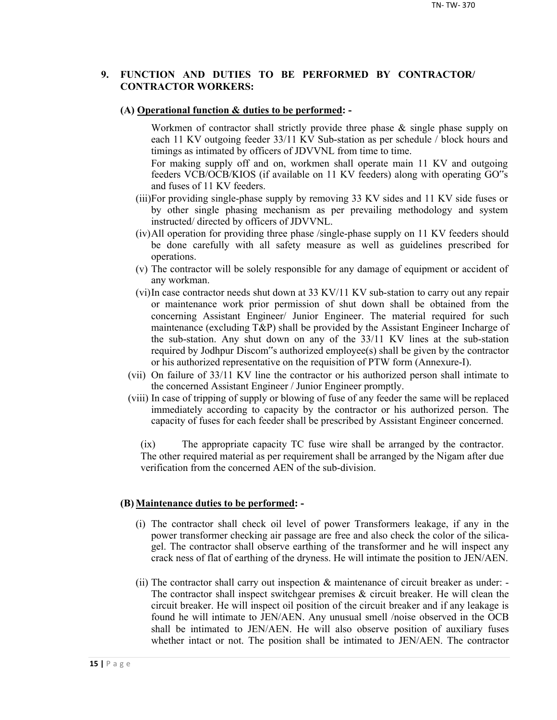## **9. FUNCTION AND DUTIES TO BE PERFORMED BY CONTRACTOR/ CONTRACTOR WORKERS:**

#### **(A) Operational function & duties to be performed: -**

Workmen of contractor shall strictly provide three phase & single phase supply on each 11 KV outgoing feeder 33/11 KV Sub-station as per schedule / block hours and timings as intimated by officers of JDVVNL from time to time.

For making supply off and on, workmen shall operate main 11 KV and outgoing feeders VCB/OCB/KIOS (if available on 11 KV feeders) along with operating GO"s and fuses of 11 KV feeders.

- (iii)For providing single-phase supply by removing 33 KV sides and 11 KV side fuses or by other single phasing mechanism as per prevailing methodology and system instructed/ directed by officers of JDVVNL.
- (iv)All operation for providing three phase /single-phase supply on 11 KV feeders should be done carefully with all safety measure as well as guidelines prescribed for operations.
- (v) The contractor will be solely responsible for any damage of equipment or accident of any workman.
- (vi)In case contractor needs shut down at 33 KV/11 KV sub-station to carry out any repair or maintenance work prior permission of shut down shall be obtained from the concerning Assistant Engineer/ Junior Engineer. The material required for such maintenance (excluding T&P) shall be provided by the Assistant Engineer Incharge of the sub-station. Any shut down on any of the 33/11 KV lines at the sub-station required by Jodhpur Discom"s authorized employee(s) shall be given by the contractor or his authorized representative on the requisition of PTW form (Annexure-I).
- (vii) On failure of 33/11 KV line the contractor or his authorized person shall intimate to the concerned Assistant Engineer / Junior Engineer promptly.
- (viii) In case of tripping of supply or blowing of fuse of any feeder the same will be replaced immediately according to capacity by the contractor or his authorized person. The capacity of fuses for each feeder shall be prescribed by Assistant Engineer concerned.

(ix) The appropriate capacity TC fuse wire shall be arranged by the contractor. The other required material as per requirement shall be arranged by the Nigam after due verification from the concerned AEN of the sub-division.

#### **(B) Maintenance duties to be performed: -**

- (i) The contractor shall check oil level of power Transformers leakage, if any in the power transformer checking air passage are free and also check the color of the silicagel. The contractor shall observe earthing of the transformer and he will inspect any crack ness of flat of earthing of the dryness. He will intimate the position to JEN/AEN.
- (ii) The contractor shall carry out inspection & maintenance of circuit breaker as under: The contractor shall inspect switchgear premises  $\&$  circuit breaker. He will clean the circuit breaker. He will inspect oil position of the circuit breaker and if any leakage is found he will intimate to JEN/AEN. Any unusual smell /noise observed in the OCB shall be intimated to JEN/AEN. He will also observe position of auxiliary fuses whether intact or not. The position shall be intimated to JEN/AEN. The contractor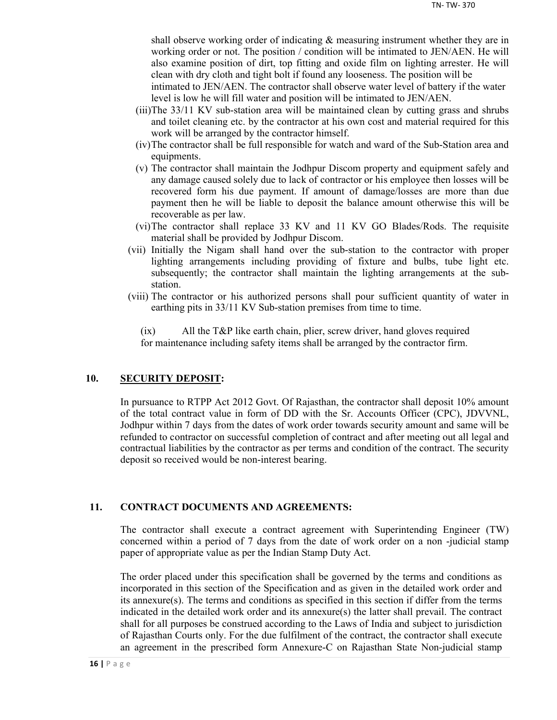shall observe working order of indicating & measuring instrument whether they are in working order or not. The position / condition will be intimated to JEN/AEN. He will also examine position of dirt, top fitting and oxide film on lighting arrester. He will clean with dry cloth and tight bolt if found any looseness. The position will be

intimated to JEN/AEN. The contractor shall observe water level of battery if the water level is low he will fill water and position will be intimated to JEN/AEN.

- (iii)The 33/11 KV sub-station area will be maintained clean by cutting grass and shrubs and toilet cleaning etc. by the contractor at his own cost and material required for this work will be arranged by the contractor himself.
- (iv)The contractor shall be full responsible for watch and ward of the Sub-Station area and equipments.
- (v) The contractor shall maintain the Jodhpur Discom property and equipment safely and any damage caused solely due to lack of contractor or his employee then losses will be recovered form his due payment. If amount of damage/losses are more than due payment then he will be liable to deposit the balance amount otherwise this will be recoverable as per law.
- (vi)The contractor shall replace 33 KV and 11 KV GO Blades/Rods. The requisite material shall be provided by Jodhpur Discom.
- (vii) Initially the Nigam shall hand over the sub-station to the contractor with proper lighting arrangements including providing of fixture and bulbs, tube light etc. subsequently; the contractor shall maintain the lighting arrangements at the substation.
- (viii) The contractor or his authorized persons shall pour sufficient quantity of water in earthing pits in 33/11 KV Sub-station premises from time to time.

(ix) All the T&P like earth chain, plier, screw driver, hand gloves required for maintenance including safety items shall be arranged by the contractor firm.

## **10. SECURITY DEPOSIT:**

In pursuance to RTPP Act 2012 Govt. Of Rajasthan, the contractor shall deposit 10% amount of the total contract value in form of DD with the Sr. Accounts Officer (CPC), JDVVNL, Jodhpur within 7 days from the dates of work order towards security amount and same will be refunded to contractor on successful completion of contract and after meeting out all legal and contractual liabilities by the contractor as per terms and condition of the contract. The security deposit so received would be non-interest bearing.

#### **11. CONTRACT DOCUMENTS AND AGREEMENTS:**

The contractor shall execute a contract agreement with Superintending Engineer (TW) concerned within a period of 7 days from the date of work order on a non -judicial stamp paper of appropriate value as per the Indian Stamp Duty Act.

The order placed under this specification shall be governed by the terms and conditions as incorporated in this section of the Specification and as given in the detailed work order and its annexure(s). The terms and conditions as specified in this section if differ from the terms indicated in the detailed work order and its annexure(s) the latter shall prevail. The contract shall for all purposes be construed according to the Laws of India and subject to jurisdiction of Rajasthan Courts only. For the due fulfilment of the contract, the contractor shall execute an agreement in the prescribed form Annexure-C on Rajasthan State Non-judicial stamp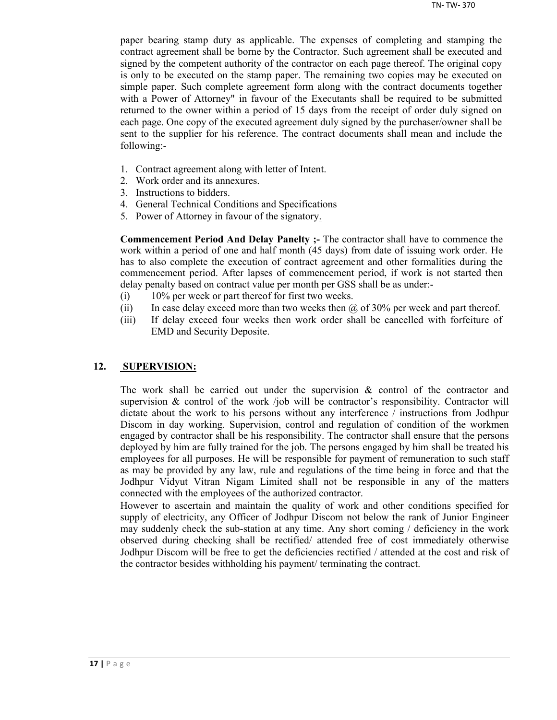paper bearing stamp duty as applicable. The expenses of completing and stamping the contract agreement shall be borne by the Contractor. Such agreement shall be executed and signed by the competent authority of the contractor on each page thereof. The original copy is only to be executed on the stamp paper. The remaining two copies may be executed on simple paper. Such complete agreement form along with the contract documents together with a Power of Attorney" in favour of the Executants shall be required to be submitted returned to the owner within a period of 15 days from the receipt of order duly signed on each page. One copy of the executed agreement duly signed by the purchaser/owner shall be sent to the supplier for his reference. The contract documents shall mean and include the following:-

- 1. Contract agreement along with letter of Intent.
- 2. Work order and its annexures.
- 3. Instructions to bidders.
- 4. General Technical Conditions and Specifications
- 5. Power of Attorney in favour of the signatory.

**Commencement Period And Delay Panelty ;-** The contractor shall have to commence the work within a period of one and half month (45 days) from date of issuing work order. He has to also complete the execution of contract agreement and other formalities during the commencement period. After lapses of commencement period, if work is not started then delay penalty based on contract value per month per GSS shall be as under:-

- (i) 10% per week or part thereof for first two weeks.
- (ii) In case delay exceed more than two weeks then  $\omega$  of 30% per week and part thereof.
- (iii) If delay exceed four weeks then work order shall be cancelled with forfeiture of EMD and Security Deposite.

#### **12. SUPERVISION:**

The work shall be carried out under the supervision  $\&$  control of the contractor and supervision  $\&$  control of the work /job will be contractor's responsibility. Contractor will dictate about the work to his persons without any interference / instructions from Jodhpur Discom in day working. Supervision, control and regulation of condition of the workmen engaged by contractor shall be his responsibility. The contractor shall ensure that the persons deployed by him are fully trained for the job. The persons engaged by him shall be treated his employees for all purposes. He will be responsible for payment of remuneration to such staff as may be provided by any law, rule and regulations of the time being in force and that the Jodhpur Vidyut Vitran Nigam Limited shall not be responsible in any of the matters connected with the employees of the authorized contractor.

However to ascertain and maintain the quality of work and other conditions specified for supply of electricity, any Officer of Jodhpur Discom not below the rank of Junior Engineer may suddenly check the sub-station at any time. Any short coming / deficiency in the work observed during checking shall be rectified/ attended free of cost immediately otherwise Jodhpur Discom will be free to get the deficiencies rectified / attended at the cost and risk of the contractor besides withholding his payment/ terminating the contract.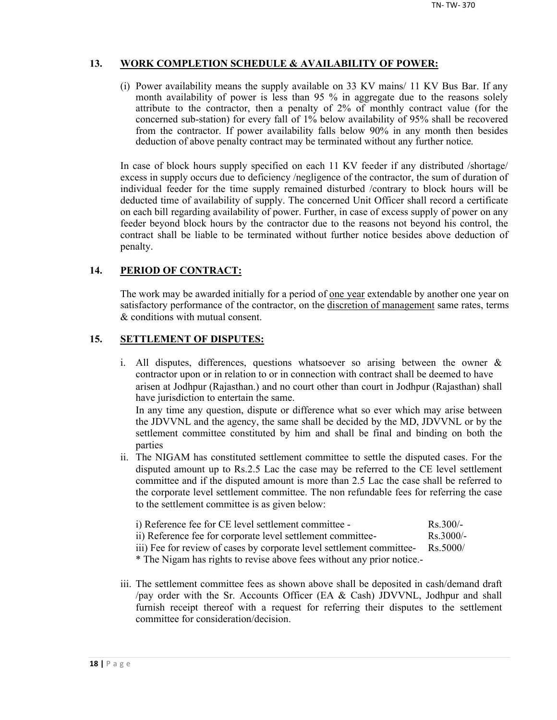## **13. WORK COMPLETION SCHEDULE & AVAILABILITY OF POWER:**

(i) Power availability means the supply available on 33 KV mains/ 11 KV Bus Bar. If any month availability of power is less than 95 % in aggregate due to the reasons solely attribute to the contractor, then a penalty of 2% of monthly contract value (for the concerned sub-station) for every fall of 1% below availability of 95% shall be recovered from the contractor. If power availability falls below 90% in any month then besides deduction of above penalty contract may be terminated without any further notice.

In case of block hours supply specified on each 11 KV feeder if any distributed /shortage/ excess in supply occurs due to deficiency /negligence of the contractor, the sum of duration of individual feeder for the time supply remained disturbed /contrary to block hours will be deducted time of availability of supply. The concerned Unit Officer shall record a certificate on each bill regarding availability of power. Further, in case of excess supply of power on any feeder beyond block hours by the contractor due to the reasons not beyond his control, the contract shall be liable to be terminated without further notice besides above deduction of penalty.

## **14. PERIOD OF CONTRACT:**

The work may be awarded initially for a period of <u>one year</u> extendable by another one year on satisfactory performance of the contractor, on the discretion of management same rates, terms & conditions with mutual consent.

## **15. SETTLEMENT OF DISPUTES:**

- i. All disputes, differences, questions whatsoever so arising between the owner & contractor upon or in relation to or in connection with contract shall be deemed to have arisen at Jodhpur (Rajasthan.) and no court other than court in Jodhpur (Rajasthan) shall have jurisdiction to entertain the same. In any time any question, dispute or difference what so ever which may arise between the JDVVNL and the agency, the same shall be decided by the MD, JDVVNL or by the settlement committee constituted by him and shall be final and binding on both the parties
- ii. The NIGAM has constituted settlement committee to settle the disputed cases. For the disputed amount up to Rs.2.5 Lac the case may be referred to the CE level settlement committee and if the disputed amount is more than 2.5 Lac the case shall be referred to the corporate level settlement committee. The non refundable fees for referring the case to the settlement committee is as given below:

| i) Reference fee for CE level settlement committee -        | $Rs$ 300/-  |
|-------------------------------------------------------------|-------------|
| ii) Reference fee for corporate level settlement committee- | $Rs$ 3000/- |

iii) Fee for review of cases by corporate level settlement committee- Rs.5000/

\* The Nigam has rights to revise above fees without any prior notice.-

iii. The settlement committee fees as shown above shall be deposited in cash/demand draft /pay order with the Sr. Accounts Officer (EA & Cash) JDVVNL, Jodhpur and shall furnish receipt thereof with a request for referring their disputes to the settlement committee for consideration/decision.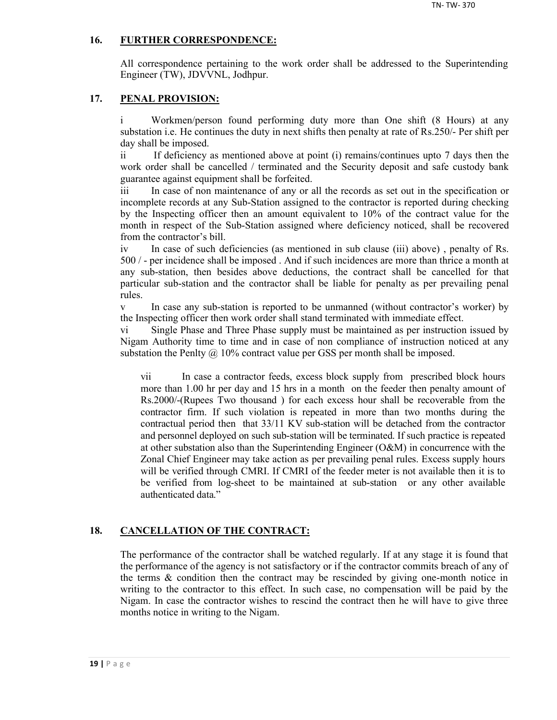## **16. FURTHER CORRESPONDENCE:**

All correspondence pertaining to the work order shall be addressed to the Superintending Engineer (TW), JDVVNL, Jodhpur.

#### **17. PENAL PROVISION:**

i Workmen/person found performing duty more than One shift (8 Hours) at any substation i.e. He continues the duty in next shifts then penalty at rate of Rs.250/- Per shift per day shall be imposed.

ii If deficiency as mentioned above at point (i) remains/continues upto 7 days then the work order shall be cancelled / terminated and the Security deposit and safe custody bank guarantee against equipment shall be forfeited.

iii In case of non maintenance of any or all the records as set out in the specification or incomplete records at any Sub-Station assigned to the contractor is reported during checking by the Inspecting officer then an amount equivalent to 10% of the contract value for the month in respect of the Sub-Station assigned where deficiency noticed, shall be recovered from the contractor's bill.

iv In case of such deficiencies (as mentioned in sub clause (iii) above) , penalty of Rs. 500 / - per incidence shall be imposed . And if such incidences are more than thrice a month at any sub-station, then besides above deductions, the contract shall be cancelled for that particular sub-station and the contractor shall be liable for penalty as per prevailing penal rules.

v In case any sub-station is reported to be unmanned (without contractor's worker) by the Inspecting officer then work order shall stand terminated with immediate effect.

vi Single Phase and Three Phase supply must be maintained as per instruction issued by Nigam Authority time to time and in case of non compliance of instruction noticed at any substation the Penlty  $\omega$  10% contract value per GSS per month shall be imposed.

vii In case a contractor feeds, excess block supply from prescribed block hours more than 1.00 hr per day and 15 hrs in a month on the feeder then penalty amount of Rs.2000/-(Rupees Two thousand ) for each excess hour shall be recoverable from the contractor firm. If such violation is repeated in more than two months during the contractual period then that 33/11 KV sub-station will be detached from the contractor and personnel deployed on such sub-station will be terminated. If such practice is repeated at other substation also than the Superintending Engineer (O&M) in concurrence with the Zonal Chief Engineer may take action as per prevailing penal rules. Excess supply hours will be verified through CMRI. If CMRI of the feeder meter is not available then it is to be verified from log-sheet to be maintained at sub-station or any other available authenticated data."

## **18. CANCELLATION OF THE CONTRACT:**

The performance of the contractor shall be watched regularly. If at any stage it is found that the performance of the agency is not satisfactory or if the contractor commits breach of any of the terms  $\&$  condition then the contract may be rescinded by giving one-month notice in writing to the contractor to this effect. In such case, no compensation will be paid by the Nigam. In case the contractor wishes to rescind the contract then he will have to give three months notice in writing to the Nigam.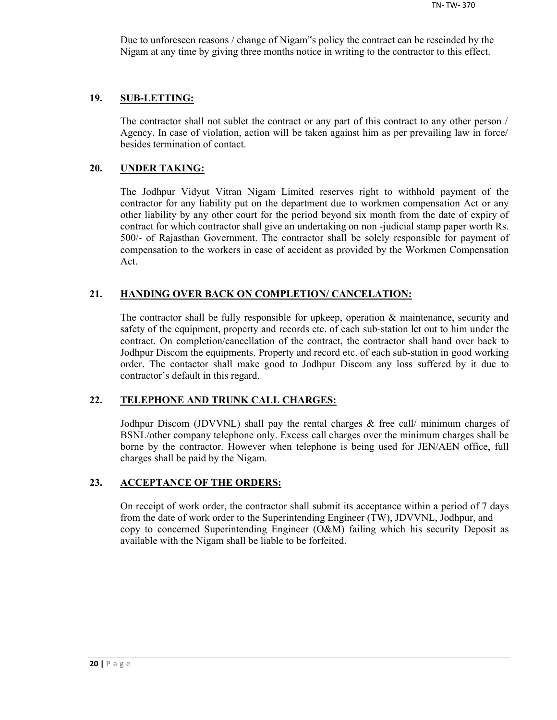Due to unforeseen reasons / change of Nigam"s policy the contract can be rescinded by the Nigam at any time by giving three months notice in writing to the contractor to this effect.

#### **19. SUB-LETTING:**

The contractor shall not sublet the contract or any part of this contract to any other person / Agency. In case of violation, action will be taken against him as per prevailing law in force/ besides termination of contact.

#### **20. UNDER TAKING:**

The Jodhpur Vidyut Vitran Nigam Limited reserves right to withhold payment of the contractor for any liability put on the department due to workmen compensation Act or any other liability by any other court for the period beyond six month from the date of expiry of contract for which contractor shall give an undertaking on non -judicial stamp paper worth Rs. 500/- of Rajasthan Government. The contractor shall be solely responsible for payment of compensation to the workers in case of accident as provided by the Workmen Compensation Act.

#### **21. HANDING OVER BACK ON COMPLETION/ CANCELATION:**

The contractor shall be fully responsible for upkeep, operation & maintenance, security and safety of the equipment, property and records etc. of each sub-station let out to him under the contract. On completion/cancellation of the contract, the contractor shall hand over back to Jodhpur Discom the equipments. Property and record etc. of each sub-station in good working order. The contactor shall make good to Jodhpur Discom any loss suffered by it due to contractor's default in this regard.

## **22. TELEPHONE AND TRUNK CALL CHARGES:**

Jodhpur Discom (JDVVNL) shall pay the rental charges & free call/ minimum charges of BSNL/other company telephone only. Excess call charges over the minimum charges shall be borne by the contractor. However when telephone is being used for JEN/AEN office, full charges shall be paid by the Nigam.

#### **23. ACCEPTANCE OF THE ORDERS:**

On receipt of work order, the contractor shall submit its acceptance within a period of 7 days from the date of work order to the Superintending Engineer (TW), JDVVNL, Jodhpur, and copy to concerned Superintending Engineer (O&M) failing which his security Deposit as available with the Nigam shall be liable to be forfeited.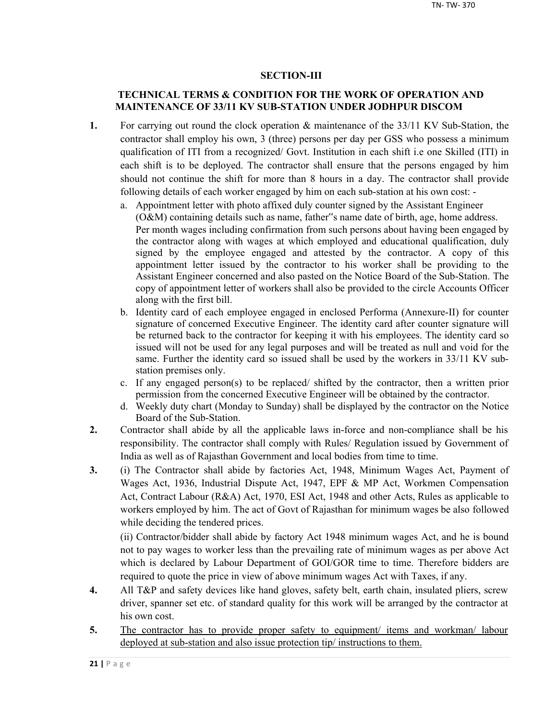## **SECTION-III**

## **TECHNICAL TERMS & CONDITION FOR THE WORK OF OPERATION AND MAINTENANCE OF 33/11 KV SUB-STATION UNDER JODHPUR DISCOM**

- **1.** For carrying out round the clock operation & maintenance of the 33/11 KV Sub-Station, the contractor shall employ his own, 3 (three) persons per day per GSS who possess a minimum qualification of ITI from a recognized/ Govt. Institution in each shift i.e one Skilled (ITI) in each shift is to be deployed. The contractor shall ensure that the persons engaged by him should not continue the shift for more than 8 hours in a day. The contractor shall provide following details of each worker engaged by him on each sub-station at his own cost:
	- a. Appointment letter with photo affixed duly counter signed by the Assistant Engineer (O&M) containing details such as name, father"s name date of birth, age, home address. Per month wages including confirmation from such persons about having been engaged by the contractor along with wages at which employed and educational qualification, duly signed by the employee engaged and attested by the contractor. A copy of this appointment letter issued by the contractor to his worker shall be providing to the Assistant Engineer concerned and also pasted on the Notice Board of the Sub-Station. The copy of appointment letter of workers shall also be provided to the circle Accounts Officer along with the first bill.
	- b. Identity card of each employee engaged in enclosed Performa (Annexure-II) for counter signature of concerned Executive Engineer. The identity card after counter signature will be returned back to the contractor for keeping it with his employees. The identity card so issued will not be used for any legal purposes and will be treated as null and void for the same. Further the identity card so issued shall be used by the workers in 33/11 KV substation premises only.
	- c. If any engaged person(s) to be replaced/ shifted by the contractor, then a written prior permission from the concerned Executive Engineer will be obtained by the contractor.
	- d. Weekly duty chart (Monday to Sunday) shall be displayed by the contractor on the Notice Board of the Sub-Station.
- **2.** Contractor shall abide by all the applicable laws in-force and non-compliance shall be his responsibility. The contractor shall comply with Rules/ Regulation issued by Government of India as well as of Rajasthan Government and local bodies from time to time.
- **3.** (i) The Contractor shall abide by factories Act, 1948, Minimum Wages Act, Payment of Wages Act, 1936, Industrial Dispute Act, 1947, EPF & MP Act, Workmen Compensation Act, Contract Labour (R&A) Act, 1970, ESI Act, 1948 and other Acts, Rules as applicable to workers employed by him. The act of Govt of Rajasthan for minimum wages be also followed while deciding the tendered prices.

(ii) Contractor/bidder shall abide by factory Act 1948 minimum wages Act, and he is bound not to pay wages to worker less than the prevailing rate of minimum wages as per above Act which is declared by Labour Department of GOI/GOR time to time. Therefore bidders are required to quote the price in view of above minimum wages Act with Taxes, if any.

- **4.** All T&P and safety devices like hand gloves, safety belt, earth chain, insulated pliers, screw driver, spanner set etc. of standard quality for this work will be arranged by the contractor at his own cost.
- 5. The contractor has to provide proper safety to equipment/ items and workman/ labour deployed at sub-station and also issue protection tip/ instructions to them.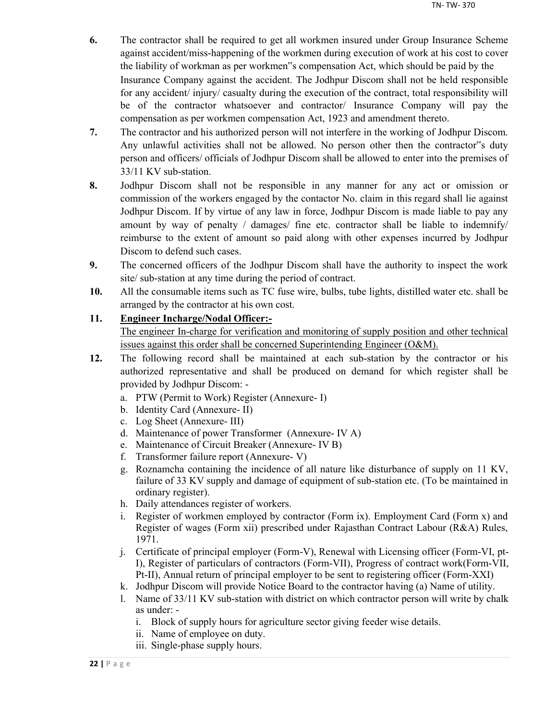- **6.** The contractor shall be required to get all workmen insured under Group Insurance Scheme against accident/miss-happening of the workmen during execution of work at his cost to cover the liability of workman as per workmen"s compensation Act, which should be paid by the Insurance Company against the accident. The Jodhpur Discom shall not be held responsible for any accident/ injury/ casualty during the execution of the contract, total responsibility will be of the contractor whatsoever and contractor/ Insurance Company will pay the compensation as per workmen compensation Act, 1923 and amendment thereto.
- **7.** The contractor and his authorized person will not interfere in the working of Jodhpur Discom. Any unlawful activities shall not be allowed. No person other then the contractor"s duty person and officers/ officials of Jodhpur Discom shall be allowed to enter into the premises of 33/11 KV sub-station.
- **8.** Jodhpur Discom shall not be responsible in any manner for any act or omission or commission of the workers engaged by the contactor No. claim in this regard shall lie against Jodhpur Discom. If by virtue of any law in force, Jodhpur Discom is made liable to pay any amount by way of penalty / damages/ fine etc. contractor shall be liable to indemnify/ reimburse to the extent of amount so paid along with other expenses incurred by Jodhpur Discom to defend such cases.
- **9.** The concerned officers of the Jodhpur Discom shall have the authority to inspect the work site/ sub-station at any time during the period of contract.
- **10.** All the consumable items such as TC fuse wire, bulbs, tube lights, distilled water etc. shall be arranged by the contractor at his own cost.

## **11. Engineer Incharge/Nodal Officer:-**

The engineer In-charge for verification and monitoring of supply position and other technical issues against this order shall be concerned Superintending Engineer (O&M).

- **12.** The following record shall be maintained at each sub-station by the contractor or his authorized representative and shall be produced on demand for which register shall be provided by Jodhpur Discom:
	- a. PTW (Permit to Work) Register (Annexure- I)
	- b. Identity Card (Annexure- II)
	- c. Log Sheet (Annexure- III)
	- d. Maintenance of power Transformer (Annexure- IV A)
	- e. Maintenance of Circuit Breaker (Annexure- IV B)
	- f. Transformer failure report (Annexure- V)
	- g. Roznamcha containing the incidence of all nature like disturbance of supply on 11 KV, failure of 33 KV supply and damage of equipment of sub-station etc. (To be maintained in ordinary register).
	- h. Daily attendances register of workers.
	- i. Register of workmen employed by contractor (Form ix). Employment Card (Form x) and Register of wages (Form xii) prescribed under Rajasthan Contract Labour (R&A) Rules, 1971.
	- j. Certificate of principal employer (Form-V), Renewal with Licensing officer (Form-VI, pt-I), Register of particulars of contractors (Form-VII), Progress of contract work(Form-VII, Pt-II), Annual return of principal employer to be sent to registering officer (Form-XXI)
	- k. Jodhpur Discom will provide Notice Board to the contractor having (a) Name of utility.
	- l. Name of 33/11 KV sub-station with district on which contractor person will write by chalk as under:
		- i. Block of supply hours for agriculture sector giving feeder wise details.
		- ii. Name of employee on duty.
		- iii. Single-phase supply hours.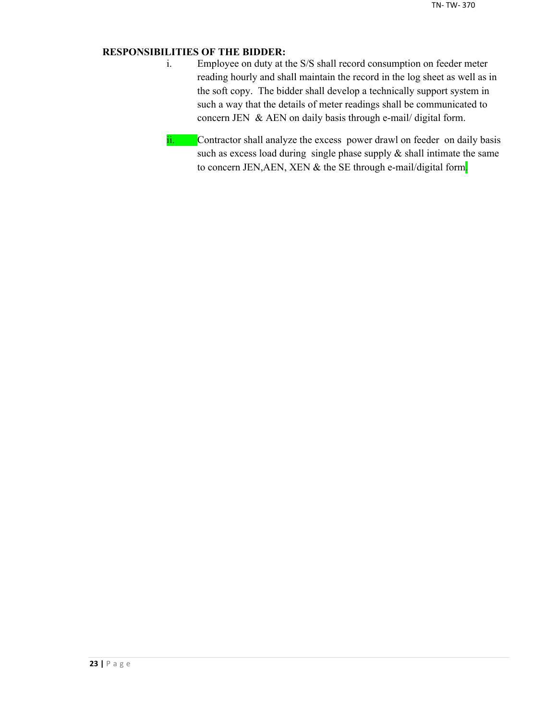## **RESPONSIBILITIES OF THE BIDDER:**

- i. Employee on duty at the S/S shall record consumption on feeder meter reading hourly and shall maintain the record in the log sheet as well as in the soft copy. The bidder shall develop a technically support system in such a way that the details of meter readings shall be communicated to concern JEN & AEN on daily basis through e-mail/ digital form.
- ii. Contractor shall analyze the excess power drawl on feeder on daily basis such as excess load during single phase supply  $\&$  shall intimate the same to concern JEN, AEN, XEN & the SE through e-mail/digital form.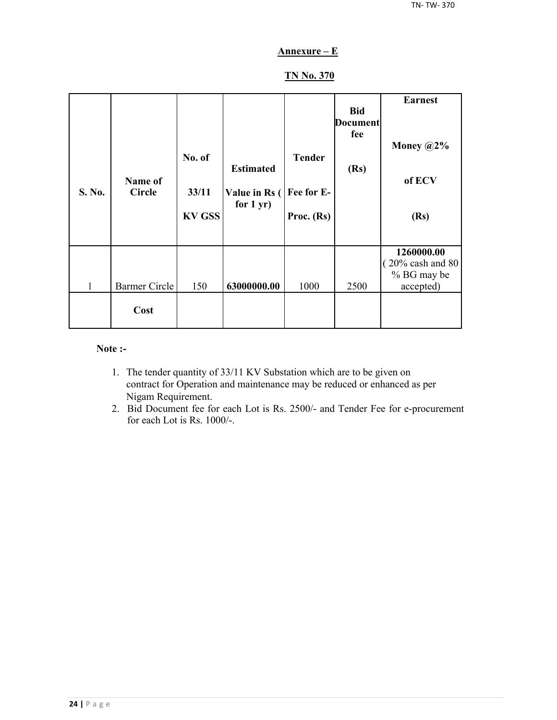## **Annexure – E**

## **TN No. 370**

| S. No. | Name of<br><b>Circle</b> | No. of<br>33/11<br><b>KV GSS</b> | <b>Estimated</b><br>Value in Rs (<br>for $1 yr$ ) | <b>Tender</b><br>Fee for E-<br>Proc. (Rs) | <b>Bid</b><br><b>Document</b><br>fee<br>(Rs) | <b>Earnest</b><br>Money $@2\%$<br>of ECV<br>(Rs)                        |
|--------|--------------------------|----------------------------------|---------------------------------------------------|-------------------------------------------|----------------------------------------------|-------------------------------------------------------------------------|
| 1      | <b>Barmer Circle</b>     | 150                              | 63000000.00                                       | 1000                                      | 2500                                         | 1260000.00<br>$(20\% \text{ cash and } 80)$<br>% BG may be<br>accepted) |
|        | Cost                     |                                  |                                                   |                                           |                                              |                                                                         |

#### **Note :-**

- 1. The tender quantity of 33/11 KV Substation which are to be given on contract for Operation and maintenance may be reduced or enhanced as per Nigam Requirement.
- 2. Bid Document fee for each Lot is Rs. 2500/- and Tender Fee for e-procurement for each Lot is Rs. 1000/-.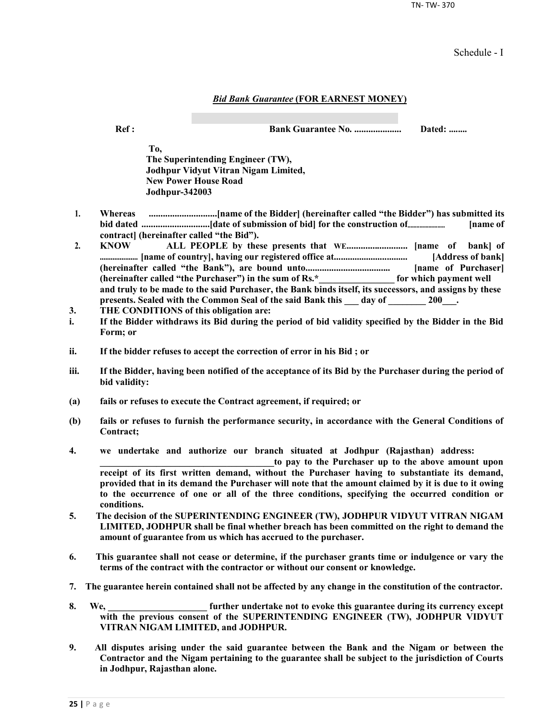TN- TW- 370

Schedule - I

#### *Bid Bank Guarantee* **(FOR EARNEST MONEY)**

**Ref : Bank Guarantee No. .................... Dated: ........**

**To, The Superintending Engineer (TW), Jodhpur Vidyut Vitran Nigam Limited, New Power House Road Jodhpur-342003**

- **1. Whereas .............................[name of the Bidder] (hereinafter called "the Bidder") has submitted its bid dated .............................[date of submission of bid] for the construction of......................... [name of contract] (hereinafter called "the Bid").**
- **2. KNOW ALL PEOPLE by these presents that WE.......................... [name of bank] of ..................... [name of country], having our registered office at................................ [Address of bank] (hereinafter called "the Bank"), are bound unto.................................... [name of Purchaser] (hereinafter called "the Purchaser") in the sum of Rs.\*\_\_\_\_\_\_\_\_\_\_\_\_\_\_\_\_ for which payment well and truly to be made to the said Purchaser, the Bank binds itself, its successors, and assigns by these**  presents. Sealed with the Common Seal of the said Bank this day of 200<sup>1</sup>.
- **3. THE CONDITIONS of this obligation are:**
- **i. If the Bidder withdraws its Bid during the period of bid validity specified by the Bidder in the Bid Form; or**
- **ii. If the bidder refuses to accept the correction of error in his Bid ; or**
- **iii. If the Bidder, having been notified of the acceptance of its Bid by the Purchaser during the period of bid validity:**
- **(a) fails or refuses to execute the Contract agreement, if required; or**
- **(b) fails or refuses to furnish the performance security, in accordance with the General Conditions of Contract;**
- **4. we undertake and authorize our branch situated at Jodhpur (Rajasthan) address:**

to pay to the Purchaser up to the above amount upon **receipt of its first written demand, without the Purchaser having to substantiate its demand, provided that in its demand the Purchaser will note that the amount claimed by it is due to it owing to the occurrence of one or all of the three conditions, specifying the occurred condition or conditions.**

- **5. The decision of the SUPERINTENDING ENGINEER (TW), JODHPUR VIDYUT VITRAN NIGAM LIMITED, JODHPUR shall be final whether breach has been committed on the right to demand the amount of guarantee from us which has accrued to the purchaser.**
- **6. This guarantee shall not cease or determine, if the purchaser grants time or indulgence or vary the terms of the contract with the contractor or without our consent or knowledge.**
- **7. The guarantee herein contained shall not be affected by any change in the constitution of the contractor.**
- **8. We, \_\_\_\_\_\_\_\_\_\_\_\_\_\_\_\_\_\_\_\_\_ further undertake not to evoke this guarantee during its currency except with the previous consent of the SUPERINTENDING ENGINEER (TW), JODHPUR VIDYUT VITRAN NIGAM LIMITED, and JODHPUR.**
- **9. All disputes arising under the said guarantee between the Bank and the Nigam or between the Contractor and the Nigam pertaining to the guarantee shall be subject to the jurisdiction of Courts in Jodhpur, Rajasthan alone.**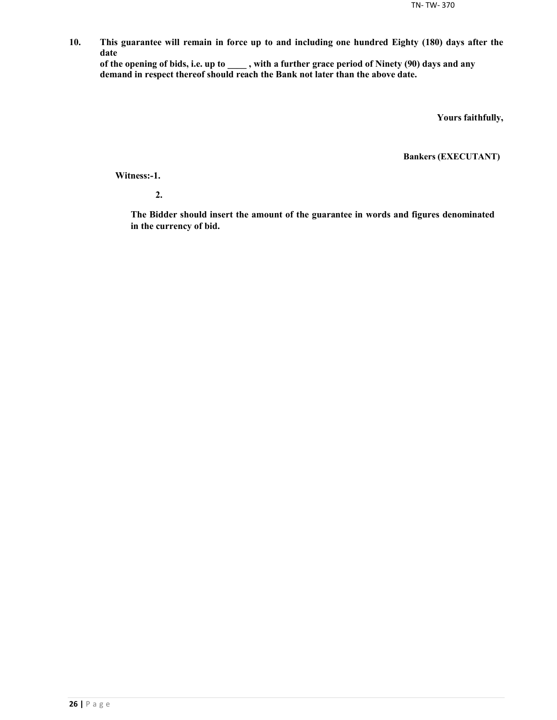**10. This guarantee will remain in force up to and including one hundred Eighty (180) days after the date**

**of the opening of bids, i.e. up to \_\_\_\_ , with a further grace period of Ninety (90) days and any demand in respect thereof should reach the Bank not later than the above date.**

**Yours faithfully,**

**Bankers (EXECUTANT)**

**Witness:-1.**

**2.**

**The Bidder should insert the amount of the guarantee in words and figures denominated in the currency of bid.**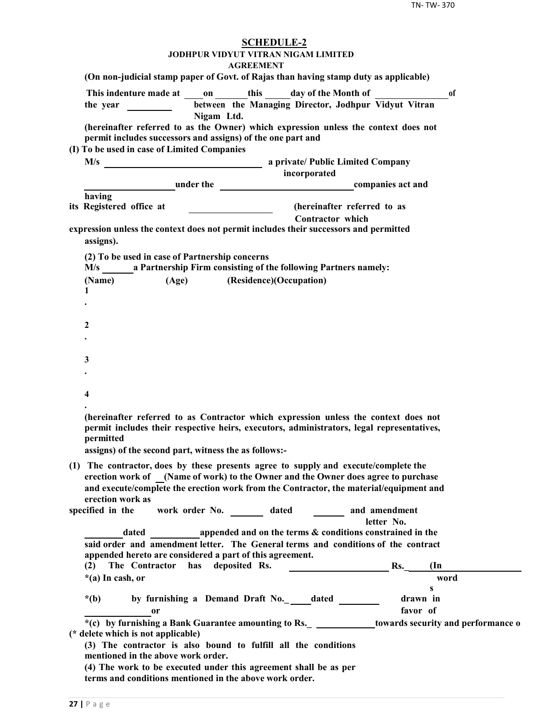| <b>SCHEDULE-2</b><br>JODHPUR VIDYUT VITRAN NIGAM LIMITED<br><b>AGREEMENT</b>                                                                                                                                                                                       |  |
|--------------------------------------------------------------------------------------------------------------------------------------------------------------------------------------------------------------------------------------------------------------------|--|
| (On non-judicial stamp paper of Govt. of Rajas than having stamp duty as applicable)                                                                                                                                                                               |  |
| This indenture made at on this day of the Month of<br>0f<br>between the Managing Director, Jodhpur Vidyut Vitran<br>the year <u>the sear and</u>                                                                                                                   |  |
| Nigam Ltd.<br>(hereinafter referred to as the Owner) which expression unless the context does not<br>permit includes successors and assigns) of the one part and                                                                                                   |  |
| (I) To be used in case of Limited Companies                                                                                                                                                                                                                        |  |
|                                                                                                                                                                                                                                                                    |  |
| incorporated<br><b>Example 2</b> under the <b>companies</b> act and                                                                                                                                                                                                |  |
| having                                                                                                                                                                                                                                                             |  |
| (hereinafter referred to as<br>its Registered office at<br><b>Contractor</b> which                                                                                                                                                                                 |  |
| expression unless the context does not permit includes their successors and permitted<br>assigns).                                                                                                                                                                 |  |
| (2) To be used in case of Partnership concerns<br>M/s a Partnership Firm consisting of the following Partners namely:                                                                                                                                              |  |
| (Age) (Residence)(Occupation)<br>(Name)                                                                                                                                                                                                                            |  |
| 1                                                                                                                                                                                                                                                                  |  |
|                                                                                                                                                                                                                                                                    |  |
| 2                                                                                                                                                                                                                                                                  |  |
|                                                                                                                                                                                                                                                                    |  |
|                                                                                                                                                                                                                                                                    |  |
| 3                                                                                                                                                                                                                                                                  |  |
|                                                                                                                                                                                                                                                                    |  |
|                                                                                                                                                                                                                                                                    |  |
| 4                                                                                                                                                                                                                                                                  |  |
| (hereinafter referred to as Contractor which expression unless the context does not<br>permit includes their respective heirs, executors, administrators, legal representatives,<br><b>nermitted</b><br>assigns) of the second part, witness the as follows:-      |  |
|                                                                                                                                                                                                                                                                    |  |
| (1) The contractor, does by these presents agree to supply and execute/complete the<br>erection work of (Name of work) to the Owner and the Owner does agree to purchase<br>and execute/complete the erection work from the Contractor, the material/equipment and |  |
| erection work as<br>specified in the                                                                                                                                                                                                                               |  |
| work order No. _________ dated _________ and amendment<br>letter No.                                                                                                                                                                                               |  |
| dated appended and on the terms & conditions constrained in the                                                                                                                                                                                                    |  |
| said order and amendment letter. The General terms and conditions of the contract                                                                                                                                                                                  |  |
| appended hereto are considered a part of this agreement.                                                                                                                                                                                                           |  |
| The Contractor has deposited Rs.<br>Rs.<br>(2)<br>$(\text{In}$                                                                                                                                                                                                     |  |
| $*(a)$ In cash, or<br>word<br>$\mathbf{s}$                                                                                                                                                                                                                         |  |
| by furnishing a Demand Draft No.___dated ______<br>drawn in<br>$*(b)$                                                                                                                                                                                              |  |
| favor of<br>0r                                                                                                                                                                                                                                                     |  |
| *(c) by furnishing a Bank Guarantee amounting to Rs. _ _____________towards security and performance o<br>(* delete which is not applicable)                                                                                                                       |  |
| (3) The contractor is also bound to fulfill all the conditions<br>mentioned in the above work order.                                                                                                                                                               |  |
| (4) The work to be executed under this agreement shall be as per<br>terms and conditions mentioned in the above work order.                                                                                                                                        |  |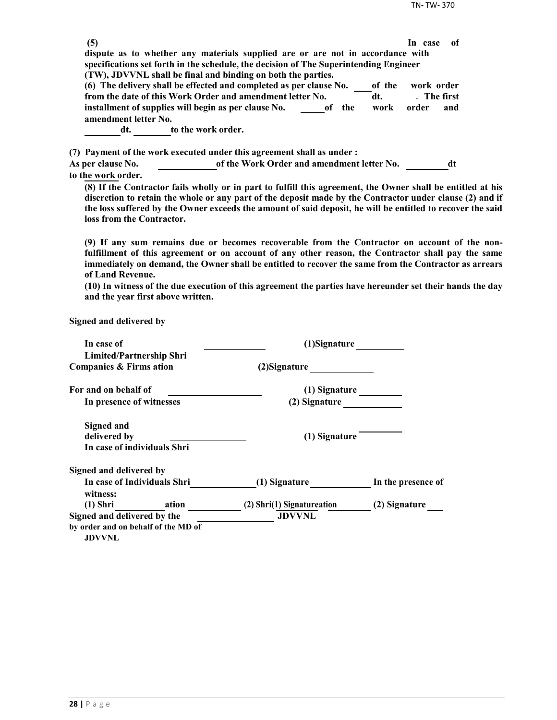| (5)                                                  |                                                                                                             | -of<br>In case |
|------------------------------------------------------|-------------------------------------------------------------------------------------------------------------|----------------|
|                                                      | dispute as to whether any materials supplied are or are not in accordance with                              |                |
|                                                      | specifications set forth in the schedule, the decision of The Superintending Engineer                       |                |
|                                                      | (TW), JDVVNL shall be final and binding on both the parties.                                                |                |
|                                                      | (6) The delivery shall be effected and completed as per clause No.<br>of the                                | work order     |
|                                                      | from the date of this Work Order and amendment letter No.<br>dt.                                            | . The first    |
| installment of supplies will begin as per clause No. | of the<br>work                                                                                              | order<br>and   |
| amendment letter No.                                 |                                                                                                             |                |
| dt.                                                  | to the work order.                                                                                          |                |
|                                                      | (7) Payment of the work executed under this agreement shall as under :                                      |                |
| <b>As per clause No.</b>                             | of the Work Order and amendment letter No.                                                                  | dt             |
| to the work order.                                   |                                                                                                             |                |
|                                                      | (8) If the Contractor fails wholly or in part to fulfill this agreement, the Owner shall be entitled at his |                |

**discretion to retain the whole or any part of the deposit made by the Contractor under clause (2) and if the loss suffered by the Owner exceeds the amount of said deposit, he will be entitled to recover the said loss from the Contractor.**

**(9) If any sum remains due or becomes recoverable from the Contractor on account of the nonfulfillment of this agreement or on account of any other reason, the Contractor shall pay the same immediately on demand, the Owner shall be entitled to recover the same from the Contractor as arrears of Land Revenue.**

**(10) In witness of the due execution of this agreement the parties have hereunder set their hands the day and the year first above written.**

**Signed and delivered by**

| In case of                                           | (1)Signature               |                    |
|------------------------------------------------------|----------------------------|--------------------|
| <b>Limited/Partnership Shri</b>                      |                            |                    |
| Companies & Firms ation                              | (2) Signature              |                    |
| For and on behalf of                                 | (1) Signature              |                    |
| In presence of witnesses                             | (2) Signature              |                    |
| <b>Signed and</b>                                    |                            |                    |
| delivered by                                         | (1) Signature              |                    |
| In case of individuals Shri                          |                            |                    |
| Signed and delivered by                              |                            |                    |
| In case of Individuals Shri<br>witness:              | (1) Signature              | In the presence of |
| (1) Shri ation                                       | (2) Shri(1) Signatureation | (2) Signature      |
| Signed and delivered by the                          | <b>JDVVNL</b>              |                    |
| by order and on behalf of the MD of<br><b>JDVVNL</b> |                            |                    |
|                                                      |                            |                    |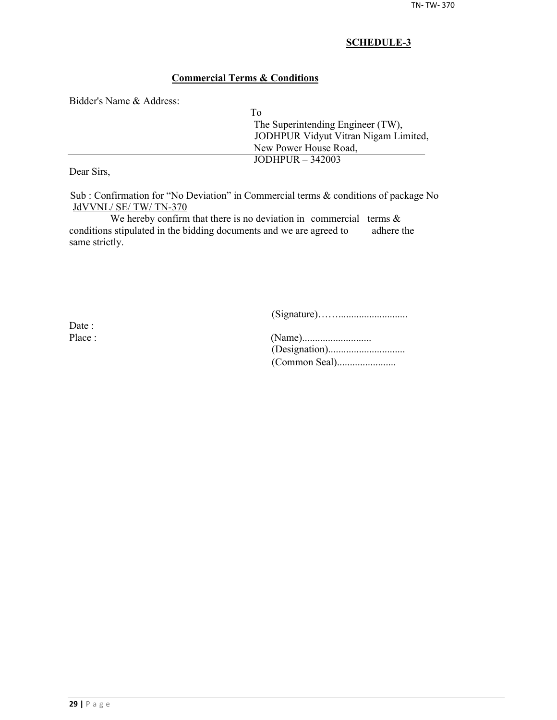## **Commercial Terms & Conditions**

Bidder's Name & Address:

| Tο                                   |
|--------------------------------------|
| The Superintending Engineer (TW),    |
| JODHPUR Vidyut Vitran Nigam Limited, |
| New Power House Road,                |
| JODHPUR $-342003$                    |
|                                      |

Dear Sirs,

Sub : Confirmation for "No Deviation" in Commercial terms & conditions of package No JdVVNL/ SE/ TW/ TN-370

We hereby confirm that there is no deviation in commercial terms  $\&$ conditions stipulated in the bidding documents and we are agreed to adhere the same strictly.

(Signature)……...........................

Date :

| Place : |  |
|---------|--|
|         |  |
|         |  |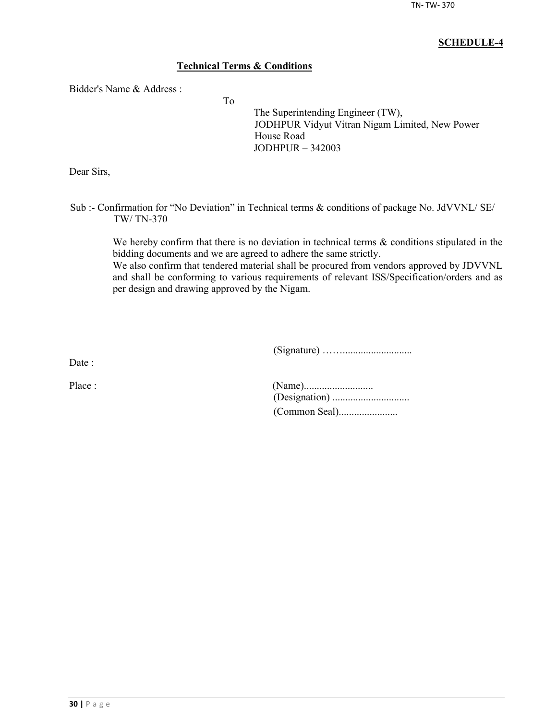## **Technical Terms & Conditions**

To

Bidder's Name & Address :

The Superintending Engineer (TW), JODHPUR Vidyut Vitran Nigam Limited, New Power House Road JODHPUR – 342003

Dear Sirs,

Sub :- Confirmation for "No Deviation" in Technical terms & conditions of package No. JdVVNL/ SE/ TW/ TN-370

We hereby confirm that there is no deviation in technical terms  $\&$  conditions stipulated in the bidding documents and we are agreed to adhere the same strictly.

We also confirm that tendered material shall be procured from vendors approved by JDVVNL and shall be conforming to various requirements of relevant ISS/Specification/orders and as per design and drawing approved by the Nigam.

(Signature) ……...........................

Date :

| Place : |  |
|---------|--|
|         |  |
|         |  |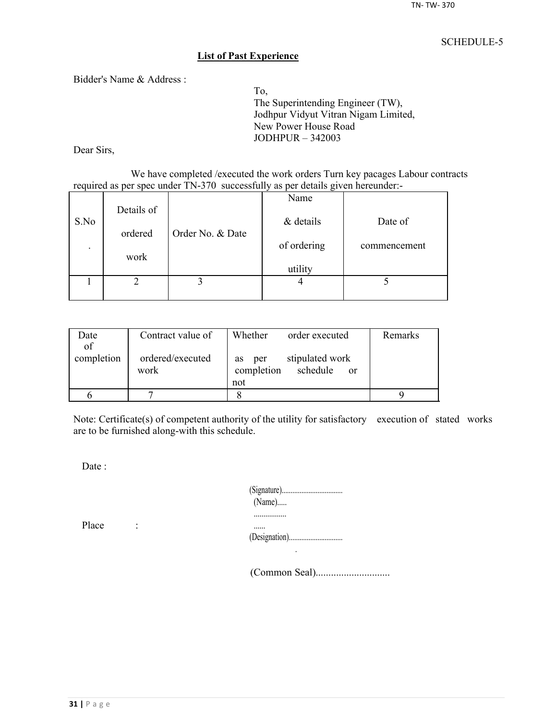#### **List of Past Experience**

Bidder's Name & Address :

To, The Superintending Engineer (TW), Jodhpur Vidyut Vitran Nigam Limited, New Power House Road JODHPUR – 342003

Dear Sirs,

We have completed /executed the work orders Turn key pacages Labour contracts required as per spec under TN-370 successfully as per details given hereunder:-

|                          |            |                  | Name        |              |
|--------------------------|------------|------------------|-------------|--------------|
| S.No                     | Details of |                  | & details   | Date of      |
|                          | ordered    | Order No. & Date |             |              |
| $\overline{\phantom{a}}$ |            |                  | of ordering | commencement |
|                          | work       |                  |             |              |
|                          |            |                  | utility     |              |
|                          |            |                  |             |              |
|                          |            |                  |             |              |

| Date       | Contract value of        | Whether<br>order executed                                     | Remarks |
|------------|--------------------------|---------------------------------------------------------------|---------|
| of         |                          |                                                               |         |
| completion | ordered/executed<br>work | stipulated work<br>per<br><b>as</b><br>completion<br>schedule |         |
|            |                          | <sub>or</sub><br>not                                          |         |
|            |                          |                                                               |         |
|            |                          |                                                               |         |

Note: Certificate(s) of competent authority of the utility for satisfactory execution of stated works are to be furnished along-with this schedule.

Date:

| $(Name)$ |
|----------|
|          |
|          |

Place :

(Common Seal).............................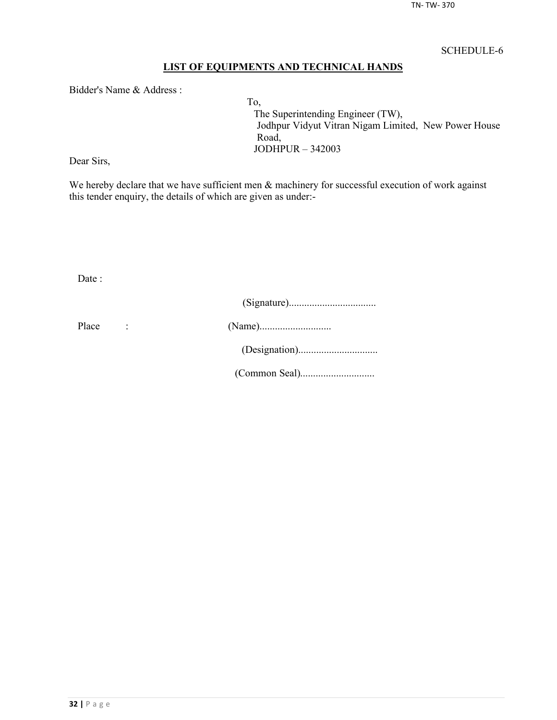## **LIST OF EQUIPMENTS AND TECHNICAL HANDS**

Bidder's Name & Address :

To, The Superintending Engineer (TW), Jodhpur Vidyut Vitran Nigam Limited, New Power House Road, JODHPUR – 342003

Dear Sirs,

We hereby declare that we have sufficient men  $\&$  machinery for successful execution of work against this tender enquiry, the details of which are given as under:-

Date :

| Place |  |
|-------|--|
|       |  |
|       |  |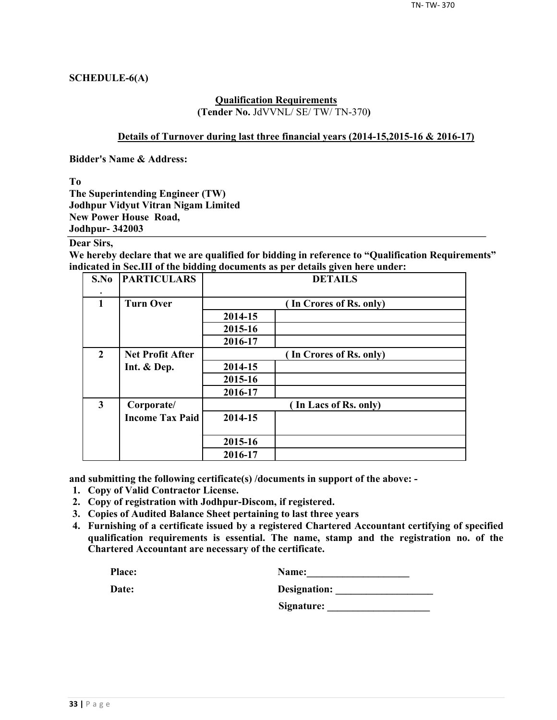### **SCHEDULE-6(A)**

#### **Qualification Requirements (Tender No.** JdVVNL/ SE/ TW/ TN-370**)**

#### **Details of Turnover during last three financial years (2014-15,2015-16 & 2016-17)**

**Bidder's Name & Address:**

**To**

**The Superintending Engineer (TW) Jodhpur Vidyut Vitran Nigam Limited New Power House Road, Jodhpur- 342003**

## **Dear Sirs,**

**We hereby declare that we are qualified for bidding in reference to "Qualification Requirements" indicated in Sec.III of the bidding documents as per details given here under:**

| S.No                    | <b>PARTICULARS</b>      | <b>DETAILS</b> |                         |  |  |  |  |
|-------------------------|-------------------------|----------------|-------------------------|--|--|--|--|
| $\mathbf{1}$            | <b>Turn Over</b>        |                | (In Crores of Rs. only) |  |  |  |  |
|                         |                         | 2014-15        |                         |  |  |  |  |
|                         |                         | 2015-16        |                         |  |  |  |  |
|                         |                         | 2016-17        |                         |  |  |  |  |
| $\overline{2}$          | <b>Net Profit After</b> |                | (In Crores of Rs. only) |  |  |  |  |
|                         | Int. & Dep.             | 2014-15        |                         |  |  |  |  |
|                         |                         | 2015-16        |                         |  |  |  |  |
|                         |                         | 2016-17        |                         |  |  |  |  |
| $\overline{\mathbf{3}}$ | Corporate/              |                | (In Lacs of Rs. only)   |  |  |  |  |
|                         | <b>Income Tax Paid</b>  | 2014-15        |                         |  |  |  |  |
|                         |                         | 2015-16        |                         |  |  |  |  |
|                         |                         | 2016-17        |                         |  |  |  |  |

**and submitting the following certificate(s) /documents in support of the above: -**

- **1. Copy of Valid Contractor License.**
- **2. Copy of registration with Jodhpur-Discom, if registered.**
- **3. Copies of Audited Balance Sheet pertaining to last three years**
- **4. Furnishing of a certificate issued by a registered Chartered Accountant certifying of specified qualification requirements is essential. The name, stamp and the registration no. of the Chartered Accountant are necessary of the certificate.**

| Place: | <b>Name:</b> |
|--------|--------------|
|        |              |

| Date: | Designation: |
|-------|--------------|
|       |              |

**Signature: \_\_\_\_\_\_\_\_\_\_\_\_\_\_\_\_\_\_\_\_**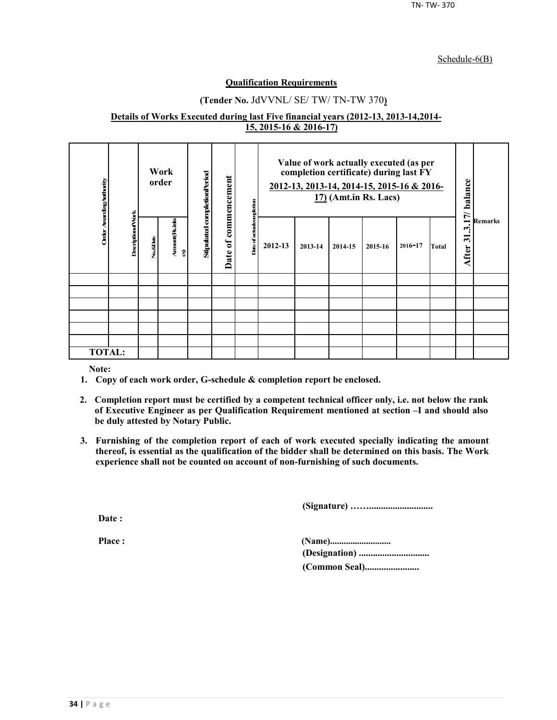#### Schedule-6(B)

#### **Qualification Requirements**

## **(Tender No.** JdVVNL/ SE/ TW/ TN-TW 370**)**

#### **Details of Works Executed during last Five financial years (2012-13, 2013-14,2014- 15, 2015-16 & 2016-17)**

| Order Awarding Authority |                          | Work<br>order |                      | Stipulated completionPeriod<br>commencement<br>ompletion |               |         |         |         | Value of work actually executed (as per<br>completion certificate) during last FY<br>2012-13, 2013-14, 2014-15, 2015-16 & 2016-<br>$17$ ) (Amt.in Rs. Lacs) |             |       | 17/ balance                                              | <b>Remarks</b> |
|--------------------------|--------------------------|---------------|----------------------|----------------------------------------------------------|---------------|---------|---------|---------|-------------------------------------------------------------------------------------------------------------------------------------------------------------|-------------|-------|----------------------------------------------------------|----------------|
|                          | <b>DescriptionofVork</b> | No.&Date      | Amount (Rsimla<br>อิ | $\mathfrak{b}$<br>Date                                   | Date of actua | 2012-13 | 2013-14 | 2014-15 | 2015-16                                                                                                                                                     | $2016 - 17$ | Total | $\dot{\mathcal{L}}$<br>$\overline{\mathbf{5}}$<br>After: |                |
|                          |                          |               |                      |                                                          |               |         |         |         |                                                                                                                                                             |             |       |                                                          |                |
|                          |                          |               |                      |                                                          |               |         |         |         |                                                                                                                                                             |             |       |                                                          |                |
|                          |                          |               |                      |                                                          |               |         |         |         |                                                                                                                                                             |             |       |                                                          |                |
|                          |                          |               |                      |                                                          |               |         |         |         |                                                                                                                                                             |             |       |                                                          |                |
|                          |                          |               |                      |                                                          |               |         |         |         |                                                                                                                                                             |             |       |                                                          |                |
|                          |                          |               |                      |                                                          |               |         |         |         |                                                                                                                                                             |             |       |                                                          |                |
| <b>TOTAL:</b>            |                          |               |                      |                                                          |               |         |         |         |                                                                                                                                                             |             |       |                                                          |                |

**Note:**

- **1. Copy of each work order, G-schedule & completion report be enclosed.**
- **2. Completion report must be certified by a competent technical officer only, i.e. not below the rank of Executive Engineer as per Qualification Requirement mentioned at section –I and should also be duly attested by Notary Public.**
- **3. Furnishing of the completion report of each of work executed specially indicating the amount thereof, is essential as the qualification of the bidder shall be determined on this basis. The Work experience shall not be counted on account of non-furnishing of such documents.**

**(Signature) ……...........................**

**Date :**

**Place : (Name)........................... (Designation) .............................. (Common Seal).......................**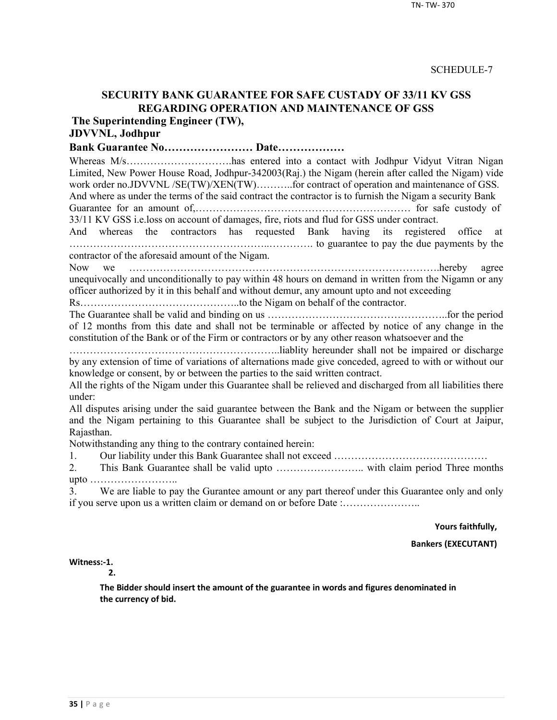## **SECURITY BANK GUARANTEE FOR SAFE CUSTADY OF 33/11 KV GSS REGARDING OPERATION AND MAINTENANCE OF GSS**

**The Superintending Engineer (TW),**

# **JDVVNL, Jodhpur**

## **Bank Guarantee No…………………… Date………………**

Whereas M/s…………………………has entered into a contact with Jodhpur Vidyut Vitran Nigan Limited, New Power House Road, Jodhpur-342003(Raj.) the Nigam (herein after called the Nigam) vide work order no.JDVVNL /SE(TW)/XEN(TW)..........for contract of operation and maintenance of GSS. And where as under the terms of the said contract the contractor is to furnish the Nigam a security Bank

Guarantee for an amount of,……………………………………………………… for safe custody of 33/11 KV GSS i.e.loss on account of damages, fire, riots and flud for GSS under contract.

And whereas the contractors has requested Bank having its registered office at …………………………………………………..…………. to guarantee to pay the due payments by the contractor of the aforesaid amount of the Nigam.

Now we ……………………………………………………………………………….hereby agree unequivocally and unconditionally to pay within 48 hours on demand in written from the Nigamn or any officer authorized by it in this behalf and without demur, any amount upto and not exceeding

Rs………………………………………..to the Nigam on behalf of the contractor.

The Guarantee shall be valid and binding on us ……………………………………………..for the period of 12 months from this date and shall not be terminable or affected by notice of any change in the constitution of the Bank or of the Firm or contractors or by any other reason whatsoever and the

……………………………………………………..liablity hereunder shall not be impaired or discharge by any extension of time of variations of alternations made give conceded, agreed to with or without our knowledge or consent, by or between the parties to the said written contract.

All the rights of the Nigam under this Guarantee shall be relieved and discharged from all liabilities there under:

All disputes arising under the said guarantee between the Bank and the Nigam or between the supplier and the Nigam pertaining to this Guarantee shall be subject to the Jurisdiction of Court at Jaipur, Rajasthan.

Notwithstanding any thing to the contrary contained herein:

1. Our liability under this Bank Guarantee shall not exceed ………………………………………

2. This Bank Guarantee shall be valid upto …………………….. with claim period Three months upto ……………………..

3. We are liable to pay the Gurantee amount or any part thereof under this Guarantee only and only if you serve upon us a written claim or demand on or before Date :…………………..

**Yours faithfully,**

**Bankers (EXECUTANT)**

**Witness:-1.** 

**2.**

**The Bidder should insert the amount of the guarantee in words and figures denominated in the currency of bid.**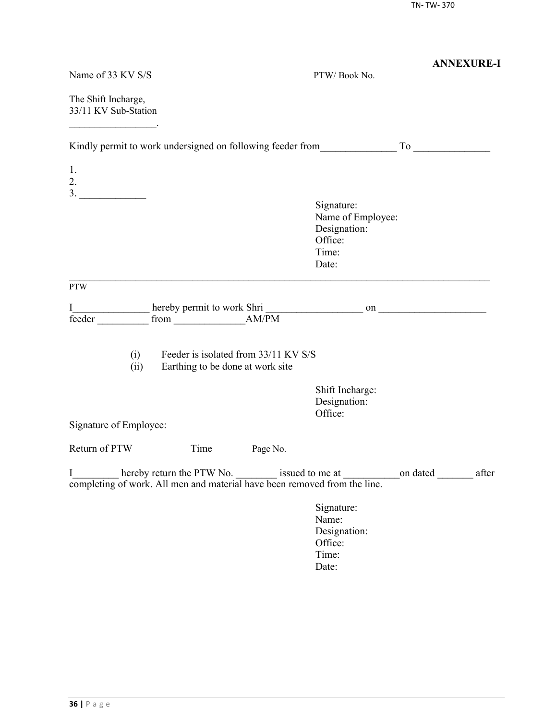|                                                                                                                                                                     |                                                                          |          |                                                                                                     | <b>ANNEXURE-I</b> |
|---------------------------------------------------------------------------------------------------------------------------------------------------------------------|--------------------------------------------------------------------------|----------|-----------------------------------------------------------------------------------------------------|-------------------|
| Name of 33 KV S/S                                                                                                                                                   |                                                                          |          | PTW/Book No.                                                                                        |                   |
| The Shift Incharge,<br>33/11 KV Sub-Station<br><u> Lista de la contrada de la contrada de la contrada de la contrada de la contrada de la contrada de la contra</u> |                                                                          |          |                                                                                                     |                   |
|                                                                                                                                                                     |                                                                          |          |                                                                                                     |                   |
| 1.<br>2.                                                                                                                                                            |                                                                          |          |                                                                                                     |                   |
|                                                                                                                                                                     |                                                                          |          | Signature:<br>Name of Employee:<br>Designation:<br>Office:<br>Time:<br>Date:                        |                   |
| <b>PTW</b>                                                                                                                                                          |                                                                          |          |                                                                                                     |                   |
| I<br>feeder                                                                                                                                                         |                                                                          |          |                                                                                                     |                   |
| (i)<br>(ii)                                                                                                                                                         | Feeder is isolated from 33/11 KV S/S<br>Earthing to be done at work site |          |                                                                                                     |                   |
|                                                                                                                                                                     |                                                                          |          | Shift Incharge:<br>Designation:<br>Office:                                                          |                   |
| Signature of Employee:                                                                                                                                              |                                                                          |          |                                                                                                     |                   |
| Return of PTW                                                                                                                                                       | Time                                                                     | Page No. |                                                                                                     |                   |
| I<br>completing of work. All men and material have been removed from the line.                                                                                      |                                                                          |          | hereby return the PTW No. _________ issued to me at _________________on dated _______________ after |                   |
|                                                                                                                                                                     |                                                                          |          | Signature:<br>Name:<br>Designation:<br>Office:<br>Time:<br>Date:                                    |                   |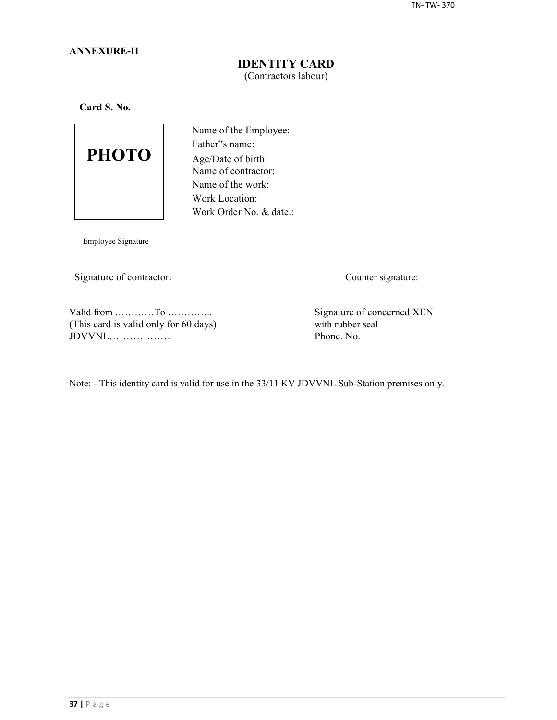### **ANNEXURE-II**

## **IDENTITY CARD** (Contractors labour)

**Card S. No.**



Name of the Employee: Father"s name: Age/Date of birth: Name of contractor: Name of the work: Work Location: Work Order No. & date.:

Employee Signature

Signature of contractor: Counter signature:

Valid from …………To …………..<br>
This card is valid only for 60 days) Signature of concerned XEN<br>
with rubber seal (This card is valid only for 60 days) with rubber seal  $JDVVNL$ 

Note: - This identity card is valid for use in the 33/11 KV JDVVNL Sub-Station premises only.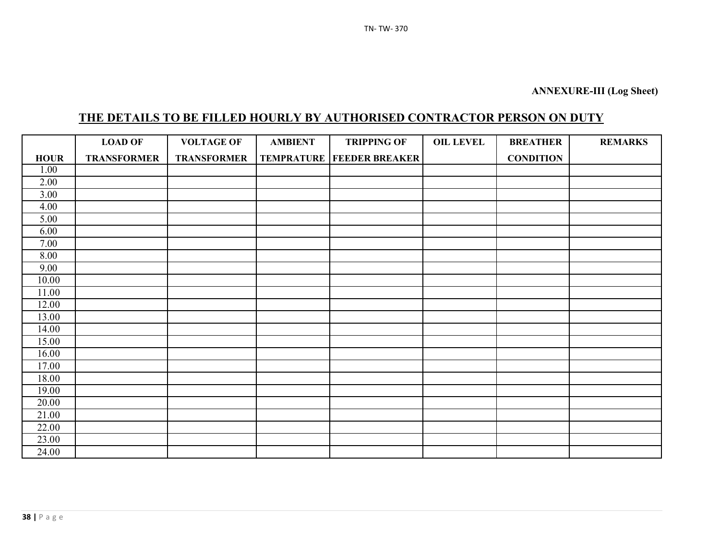# **THE DETAILS TO BE FILLED HOURLY BY AUTHORISED CONTRACTOR PERSON ON DUTY**

|             | <b>LOAD OF</b>     | <b>VOLTAGE OF</b>  | <b>AMBIENT</b> | <b>TRIPPING OF</b>                   | <b>OIL LEVEL</b> | <b>BREATHER</b>  | <b>REMARKS</b> |
|-------------|--------------------|--------------------|----------------|--------------------------------------|------------------|------------------|----------------|
| <b>HOUR</b> | <b>TRANSFORMER</b> | <b>TRANSFORMER</b> |                | <b>TEMPRATURE   FEEDER BREAKER  </b> |                  | <b>CONDITION</b> |                |
| 1.00        |                    |                    |                |                                      |                  |                  |                |
| 2.00        |                    |                    |                |                                      |                  |                  |                |
| 3.00        |                    |                    |                |                                      |                  |                  |                |
| 4.00        |                    |                    |                |                                      |                  |                  |                |
| 5.00        |                    |                    |                |                                      |                  |                  |                |
| 6.00        |                    |                    |                |                                      |                  |                  |                |
| 7.00        |                    |                    |                |                                      |                  |                  |                |
| 8.00        |                    |                    |                |                                      |                  |                  |                |
| 9.00        |                    |                    |                |                                      |                  |                  |                |
| 10.00       |                    |                    |                |                                      |                  |                  |                |
| 11.00       |                    |                    |                |                                      |                  |                  |                |
| 12.00       |                    |                    |                |                                      |                  |                  |                |
| 13.00       |                    |                    |                |                                      |                  |                  |                |
| 14.00       |                    |                    |                |                                      |                  |                  |                |
| 15.00       |                    |                    |                |                                      |                  |                  |                |
| 16.00       |                    |                    |                |                                      |                  |                  |                |
| 17.00       |                    |                    |                |                                      |                  |                  |                |
| 18.00       |                    |                    |                |                                      |                  |                  |                |
| 19.00       |                    |                    |                |                                      |                  |                  |                |
| 20.00       |                    |                    |                |                                      |                  |                  |                |
| 21.00       |                    |                    |                |                                      |                  |                  |                |
| 22.00       |                    |                    |                |                                      |                  |                  |                |
| 23.00       |                    |                    |                |                                      |                  |                  |                |
| 24.00       |                    |                    |                |                                      |                  |                  |                |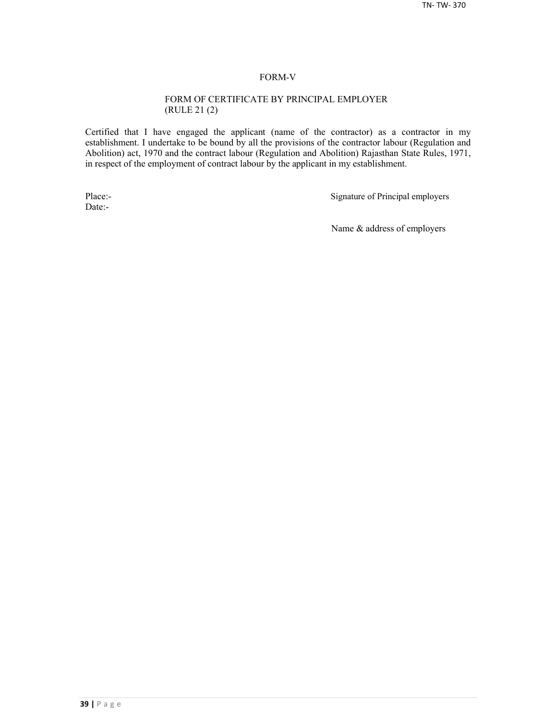#### FORM-V

#### FORM OF CERTIFICATE BY PRINCIPAL EMPLOYER (RULE 21 (2)

Certified that I have engaged the applicant (name of the contractor) as a contractor in my establishment. I undertake to be bound by all the provisions of the contractor labour (Regulation and Abolition) act, 1970 and the contract labour (Regulation and Abolition) Rajasthan State Rules, 1971, in respect of the employment of contract labour by the applicant in my establishment.

Date:-

Place:-<br>
Signature of Principal employers

Name & address of employers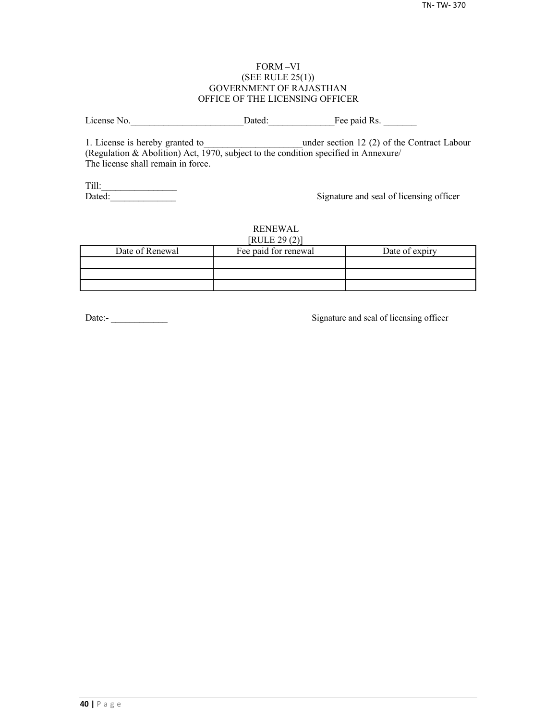#### FORM –VI (SEE RULE 25(1)) GOVERNMENT OF RAJASTHAN OFFICE OF THE LICENSING OFFICER

License No. 2012 Dated: The paid Rs.

1. License is hereby granted to **the under section 12 (2) of the Contract Labour** (Regulation & Abolition) Act, 1970, subject to the condition specified in Annexure/ The license shall remain in force.

Till:\_\_\_\_\_\_\_\_\_\_\_\_\_\_\_\_

Signature and seal of licensing officer

#### RENEWAL  $[PHH]$   $[20(2)]$

| NULEZ9(2)       |                      |                |  |  |  |  |
|-----------------|----------------------|----------------|--|--|--|--|
| Date of Renewal | Fee paid for renewal | Date of expiry |  |  |  |  |
|                 |                      |                |  |  |  |  |
|                 |                      |                |  |  |  |  |
|                 |                      |                |  |  |  |  |

Date:-<br>
Signature and seal of licensing officer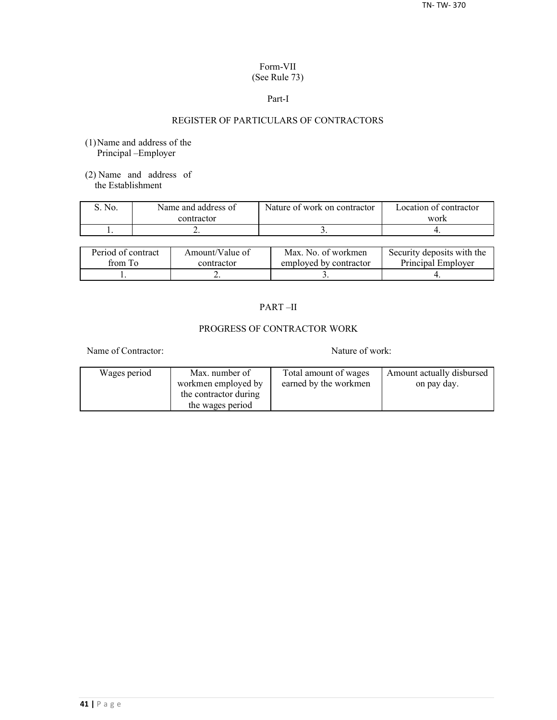#### Form-VII (See Rule 73)

#### Part-I

## REGISTER OF PARTICULARS OF CONTRACTORS

- (1)Name and address of the Principal –Employer
- (2) Name and address of the Establishment

| S. No. | Name and address of | Nature of work on contractor | Location of contractor |  |
|--------|---------------------|------------------------------|------------------------|--|
|        | contractor          |                              | work                   |  |
|        | <u>.</u>            |                              |                        |  |

| Period of contract | Amount/Value of | Max. No. of workmen    | Security deposits with the |
|--------------------|-----------------|------------------------|----------------------------|
| from To            | contractor      | employed by contractor | Principal Employer         |
|                    | ∸               |                        |                            |

## PART –II

## PROGRESS OF CONTRACTOR WORK

Name of Contractor: Nature of work:

| Wages period | Max. number of        | Total amount of wages | Amount actually disbursed |
|--------------|-----------------------|-----------------------|---------------------------|
|              | workmen employed by   | earned by the workmen | on pay day.               |
|              | the contractor during |                       |                           |
|              | the wages period      |                       |                           |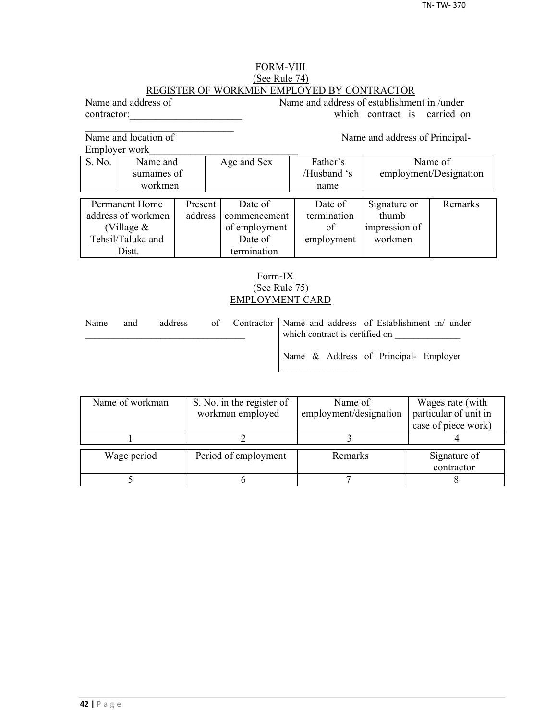#### FORM-VIII (See Rule 74) REGISTER OF WORKMEN EMPLOYED BY CONTRACTOR

Name and address of Name and address of establishment in /under contractor: which contract is carried on

Name and location of Name and address of Principal-

 $\mathcal{L}_\text{max}$ 

Employer work

S. No. Name and Age and Sex Father's Name of surnames of / /Husband 's employment/Designation workmen | name Permanent Home Present Date of Date of Signature or Remarks decrees of workmen address commencement termination thumb address of workmen address commencement termination (Village  $\&$   $\qquad$  of employment of impression of Tehsil/Taluka and **Date of** employment workmen Distt. **termination** 

## Form-IX (See Rule 75) EMPLOYMENT CARD

| Name | and | address |  | of Contractor Name and address of Establishment in/ under<br>which contract is certified on |
|------|-----|---------|--|---------------------------------------------------------------------------------------------|
|      |     |         |  | Name & Address of Principal- Employer                                                       |

| Name of workman | S. No. in the register of<br>workman employed | Name of<br>employment/designation | Wages rate (with<br>particular of unit in |  |
|-----------------|-----------------------------------------------|-----------------------------------|-------------------------------------------|--|
|                 |                                               |                                   | case of piece work)                       |  |
|                 |                                               |                                   |                                           |  |
| Wage period     | Period of employment                          | Remarks                           | Signature of<br>contractor                |  |
|                 |                                               |                                   |                                           |  |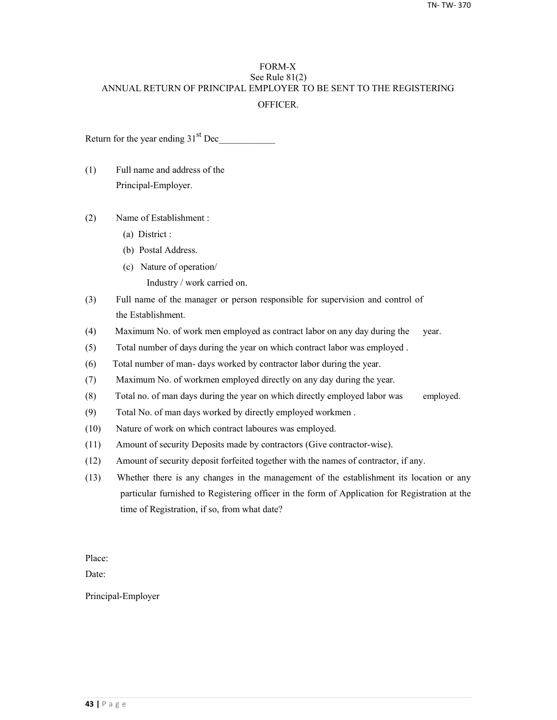## FORM-X See Rule 81(2) ANNUAL RETURN OF PRINCIPAL EMPLOYER TO BE SENT TO THE REGISTERING **OFFICER**

Return for the year ending  $31<sup>st</sup>$  Dec

- (1) Full name and address of the Principal-Employer.
- (2) Name of Establishment :
	- (a) District :
	- (b) Postal Address.
	- (c) Nature of operation/
		- Industry / work carried on.
- (3) Full name of the manager or person responsible for supervision and control of the Establishment.
- (4) Maximum No. of work men employed as contract labor on any day during the year.
- (5) Total number of days during the year on which contract labor was employed .
- (6) Total number of man- days worked by contractor labor during the year.
- (7) Maximum No. of workmen employed directly on any day during the year.
- (8) Total no. of man days during the year on which directly employed labor was employed.
- (9) Total No. of man days worked by directly employed workmen .
- (10) Nature of work on which contract laboures was employed.
- (11) Amount of security Deposits made by contractors (Give contractor-wise).
- (12) Amount of security deposit forfeited together with the names of contractor, if any.
- (13) Whether there is any changes in the management of the establishment its location or any particular furnished to Registering officer in the form of Application for Registration at the time of Registration, if so, from what date?

Place:

Date:

Principal-Employer